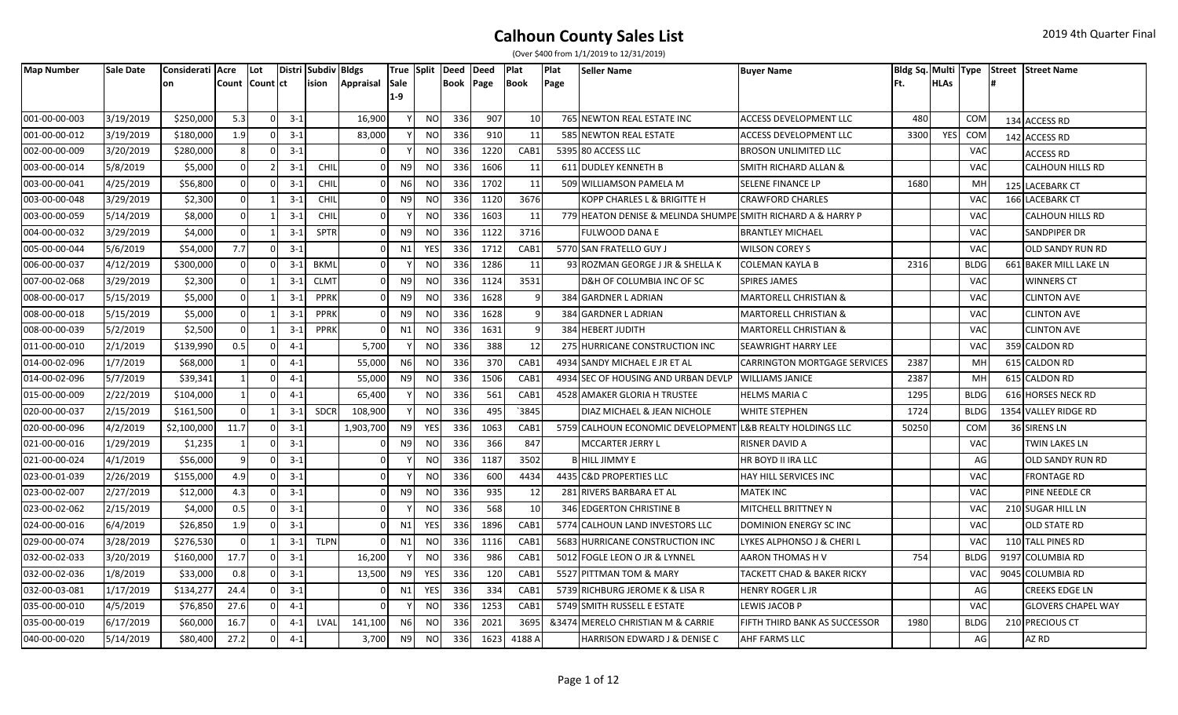| (Over \$400 from 1/1/2019 to 12/31/2019) |  |
|------------------------------------------|--|
|------------------------------------------|--|

| <b>Map Number</b> | Sale Date | Considerati   Acre |          | Lot             |         | Distri Subdiv Bldgs |                  |                |                | True Split Deed Deed |      | Plat   | Plat | <b>Seller Name</b>                  | <b>Buyer Name</b>                  |       |             |                 |   | Bldg Sq. Multi Type Street Street Name |
|-------------------|-----------|--------------------|----------|-----------------|---------|---------------------|------------------|----------------|----------------|----------------------|------|--------|------|-------------------------------------|------------------------------------|-------|-------------|-----------------|---|----------------------------------------|
|                   |           | <b>on</b>          |          | Count Count Ict |         | ision               | <b>Appraisal</b> | <b>Sale</b>    |                | <b>Book Page</b>     |      | Book   | Page |                                     |                                    | IFt.  | <b>HLAs</b> |                 | # |                                        |
|                   |           |                    |          |                 |         |                     |                  | 1-9            |                |                      |      |        |      |                                     |                                    |       |             |                 |   |                                        |
| 001-00-00-003     | 3/19/2019 | \$250,000          | 5.3      |                 | $3 - 1$ |                     | 16,900           |                | NO             | 336                  | 907  | 10     |      | 765 NEWTON REAL ESTATE INC          | ACCESS DEVELOPMENT LLC             | 480   |             | <b>COM</b>      |   | 134 ACCESS RD                          |
| 001-00-00-012     | 3/19/2019 | \$180,000          | 1.9      |                 | $3-1$   |                     | 83,000           |                | <b>NO</b>      | 336                  | 910  | 11     |      | 585 NEWTON REAL ESTATE              | ACCESS DEVELOPMENT LLC             | 3300  | YES         | <b>COM</b>      |   | 142 ACCESS RD                          |
| 002-00-00-009     | 3/20/2019 | \$280,000          |          |                 | $3 - 1$ |                     |                  |                | <b>NO</b>      | 336                  | 1220 | CAB1   |      | 5395 80 ACCESS LLC                  | <b>BROSON UNLIMITED LLC</b>        |       |             | <b>VAC</b>      |   | <b>ACCESS RD</b>                       |
| 003-00-00-014     | 5/8/2019  | \$5,000            | $\cap$   |                 | $3-1$   | CHIL                |                  | N <sub>9</sub> | <b>NO</b>      | 336                  | 1606 | 11     |      | 611 DUDLEY KENNETH B                | SMITH RICHARD ALLAN &              |       |             | <b>VAC</b>      |   | CALHOUN HILLS RD                       |
| 003-00-00-041     | 4/25/2019 | \$56,800           | $\Omega$ |                 | $3 - 1$ | CHIL                |                  | N <sub>6</sub> | <b>NO</b>      | 336                  | 1702 | 11     |      | 509 WILLIAMSON PAMELA M             | SELENE FINANCE LP                  | 1680  |             | MH              |   | 125 LACEBARK CT                        |
| 003-00-00-048     | 3/29/2019 | \$2,300            | $\Omega$ |                 | $3 - 1$ | CHIL                |                  | N <sub>9</sub> | <b>NO</b>      | 336                  | 1120 | 3676   |      | KOPP CHARLES L & BRIGITTE H         | <b>CRAWFORD CHARLES</b>            |       |             | VA <sub>C</sub> |   | 166 LACEBARK CT                        |
| 003-00-00-059     | 5/14/2019 | \$8,000            | $\Omega$ |                 | $3 - 1$ | CHIL                |                  |                | <b>NO</b>      | 336                  | 1603 | 11     |      | 779 HEATON DENISE & MELINDA SHUMPE  | SMITH RICHARD A & HARRY P          |       |             | VAC             |   | CALHOUN HILLS RD                       |
| 004-00-00-032     | 3/29/2019 | \$4,000            | $\Omega$ |                 | $3-1$   | <b>SPTR</b>         |                  | N9             | NO             | 336                  | 1122 | 3716   |      | FULWOOD DANA E                      | <b>BRANTLEY MICHAEL</b>            |       |             | VAC             |   | SANDPIPER DR                           |
| 005-00-00-044     | 5/6/2019  | \$54,000           | 7.7      |                 | $3 - 1$ |                     |                  | N1             | <b>YES</b>     | 336                  | 1712 | CAB1   |      | 5770 SAN FRATELLO GUY J             | WILSON COREY S                     |       |             | VAC             |   | OLD SANDY RUN RD                       |
| 006-00-00-037     | 4/12/2019 | \$300,000          | $\Omega$ |                 | $3 - 1$ | <b>BKML</b>         |                  |                | <b>NO</b>      | 336                  | 1286 | 11     |      | 93 ROZMAN GEORGE J JR & SHELLA K    | <b>COLEMAN KAYLA B</b>             | 2316  |             | <b>BLDG</b>     |   | 661 BAKER MILL LAKE LN                 |
| 007-00-02-068     | 3/29/2019 | \$2,300            | $\cap$   |                 | $3 - 1$ | <b>CLMT</b>         |                  | N <sub>9</sub> | <b>NO</b>      | 336                  | 1124 | 3531   |      | D&H OF COLUMBIA INC OF SC           | <b>SPIRES JAMES</b>                |       |             | <b>VAC</b>      |   | <b>WINNERS CT</b>                      |
| 008-00-00-017     | 5/15/2019 | \$5,000            | $\Omega$ |                 | $3 - 1$ | PPRK                |                  | N9             | N <sub>O</sub> | 336                  | 1628 |        |      | 384 GARDNER L ADRIAN                | MARTORELL CHRISTIAN &              |       |             | <b>VAC</b>      |   | <b>CLINTON AVE</b>                     |
| 008-00-00-018     | 5/15/2019 | \$5,000            | $\cap$   |                 | $3 - 1$ | PPRK                |                  | N <sub>9</sub> | N <sub>O</sub> | 336                  | 1628 |        |      | 384 GARDNER L ADRIAN                | MARTORELL CHRISTIAN &              |       |             | VAC             |   | <b>CLINTON AVE</b>                     |
| 008-00-00-039     | 5/2/2019  | \$2,500            |          |                 | $3-1$   | PPRK                |                  | N1             | <b>NO</b>      | 336                  | 1631 |        |      | 384 HEBERT JUDITH                   | MARTORELL CHRISTIAN &              |       |             | VAC             |   | <b>CLINTON AVE</b>                     |
| 011-00-00-010     | 2/1/2019  | \$139,990          | 0.5      |                 | $4 - 1$ |                     | 5,700            |                | <b>NO</b>      | 336                  | 388  | 12     |      | 275 HURRICANE CONSTRUCTION INC      | SEAWRIGHT HARRY LEE                |       |             | VAC             |   | 359 CALDON RD                          |
| 014-00-02-096     | 1/7/2019  | \$68,000           |          |                 | $4 - 1$ |                     | 55,000           | N <sub>6</sub> | <b>NO</b>      | 336                  | 370  | CAB1   |      | 4934 SANDY MICHAEL E JR ET AL       | CARRINGTON MORTGAGE SERVICES       | 2387  |             | MH              |   | 615 CALDON RD                          |
| 014-00-02-096     | 5/7/2019  | \$39,341           |          |                 | $4 - 1$ |                     | 55,000           | N <sub>9</sub> | <b>NO</b>      | 336                  | 1506 | CAB1   |      | 4934 SEC OF HOUSING AND URBAN DEVLP | <b>WILLIAMS JANICE</b>             | 2387  |             | MН              |   | 615 CALDON RD                          |
| 015-00-00-009     | 2/22/2019 | \$104,000          |          |                 | $4 - 1$ |                     | 65,400           |                | <b>NO</b>      | 336                  | 561  | CAB1   |      | 4528 AMAKER GLORIA H TRUSTEE        | HELMS MARIA C                      | 1295  |             | <b>BLDG</b>     |   | 616 HORSES NECK RD                     |
| 020-00-00-037     | 2/15/2019 | \$161,500          |          |                 | $3 - 1$ | <b>SDCR</b>         | 108,900          |                | <b>NO</b>      | 336                  | 495  | `3845  |      | DIAZ MICHAEL & JEAN NICHOLE         | WHITE STEPHEN                      | 1724  |             | <b>BLDG</b>     |   | 1354 VALLEY RIDGE RD                   |
| 020-00-00-096     | 4/2/2019  | \$2,100,000        | 11.7     |                 | $3 - 1$ |                     | 1,903,700        | N9             | YES            | 336                  | 1063 | CAB1   |      | 5759 CALHOUN ECONOMIC DEVELOPMENT   | <b>L&amp;B REALTY HOLDINGS LLC</b> | 50250 |             | <b>COM</b>      |   | 36 SIRENS LN                           |
| 021-00-00-016     | 1/29/2019 | \$1,235            |          |                 | $3 - 1$ |                     |                  | N <sub>9</sub> | <b>NO</b>      | 336                  | 366  | 847    |      | MCCARTER JERRY L                    | RISNER DAVID A                     |       |             | VAC             |   | TWIN LAKES LN                          |
| 021-00-00-024     | 4/1/2019  | \$56,000           | q        |                 | $3 - 1$ |                     |                  |                | <b>NO</b>      | 336                  | 1187 | 3502   |      | <b>B</b> HILL JIMMY E               | HR BOYD II IRA LLC                 |       |             | AG              |   | OLD SANDY RUN RD                       |
| 023-00-01-039     | 2/26/2019 | \$155,000          | 4.9      |                 | $3 - 1$ |                     |                  |                | <b>NO</b>      | 336                  | 600  | 4434   |      | 4435 C&D PROPERTIES LLC             | HAY HILL SERVICES INC              |       |             | VAC             |   | <b>FRONTAGE RD</b>                     |
| 023-00-02-007     | 2/27/2019 | \$12,000           | 4.3      |                 | $3 - 1$ |                     |                  | N <sub>9</sub> | <b>NO</b>      | 336                  | 935  | 12     |      | 281 RIVERS BARBARA ET AL            | MATEK INC                          |       |             | <b>VAC</b>      |   | PINE NEEDLE CR                         |
| 023-00-02-062     | 2/15/2019 | \$4,000            | 0.5      |                 | $3-1$   |                     |                  |                | <b>NO</b>      | 336                  | 568  | 10     |      | 346 EDGERTON CHRISTINE B            | MITCHELL BRITTNEY N                |       |             | VAC             |   | 210 SUGAR HILL LN                      |
| 024-00-00-016     | 6/4/2019  | \$26,850           | 1.9      |                 | $3-1$   |                     |                  | N1             | <b>YES</b>     | 336                  | 1896 | CAB1   |      | 5774 CALHOUN LAND INVESTORS LLC     | DOMINION ENERGY SC INC             |       |             | VAC             |   | OLD STATE RD                           |
| 029-00-00-074     | 3/28/2019 | \$276,530          |          |                 | $3 - 1$ | <b>TLPN</b>         |                  | N1             | <b>NO</b>      | 336                  | 1116 | CAB1   |      | 5683 HURRICANE CONSTRUCTION INC     | LYKES ALPHONSO J & CHERI L         |       |             | VAC             |   | 110 TALL PINES RD                      |
| 032-00-02-033     | 3/20/2019 | \$160,000          | 17.7     |                 | $3-1$   |                     | 16,200           |                | <b>NO</b>      | 336                  | 986  | CAB1   |      | 5012 FOGLE LEON O JR & LYNNEL       | AARON THOMAS H V                   | 754   |             | <b>BLDG</b>     |   | 9197 COLUMBIA RD                       |
| 032-00-02-036     | 1/8/2019  | \$33,000           | 0.8      |                 | $3 - 1$ |                     | 13,500           | N <sub>9</sub> | <b>YES</b>     | 336                  | 120  | CAB1   |      | 5527 PITTMAN TOM & MARY             | TACKETT CHAD & BAKER RICKY         |       |             | <b>VAC</b>      |   | 9045 COLUMBIA RD                       |
| 032-00-03-081     | 1/17/2019 | \$134,277          | 24.4     |                 | $3 - 1$ |                     |                  | N1             | <b>YES</b>     | 336                  | 334  | CAB1   |      | 5739 RICHBURG JEROME K & LISA R     | HENRY ROGER L JR                   |       |             | AG              |   | <b>CREEKS EDGE LN</b>                  |
| 035-00-00-010     | 4/5/2019  | \$76,850           | 27.6     |                 | $4 - 1$ |                     |                  |                | <b>NO</b>      | 336                  | 1253 | CAB1   |      | 5749 SMITH RUSSELL E ESTATE         | LEWIS JACOB P                      |       |             | VAC             |   | <b>GLOVERS CHAPEL WAY</b>              |
| 035-00-00-019     | 6/17/2019 | \$60,000           | 16.7     |                 | $4 - 1$ | LVAL                | 141,100          | N <sub>6</sub> | <b>NO</b>      | 336                  | 2021 | 3695   |      | &3474 MERELO CHRISTIAN M & CARRIE   | FIFTH THIRD BANK AS SUCCESSOR      | 1980  |             | <b>BLDG</b>     |   | 210 PRECIOUS CT                        |
| 040-00-00-020     | 5/14/2019 | \$80,400           | 27.2     |                 | $4 - 1$ |                     | 3,700            | N <sub>9</sub> | <b>NO</b>      | 336                  | 1623 | 4188 A |      | HARRISON EDWARD J & DENISE C        | AHF FARMS LLC                      |       |             | AG              |   | AZ RD                                  |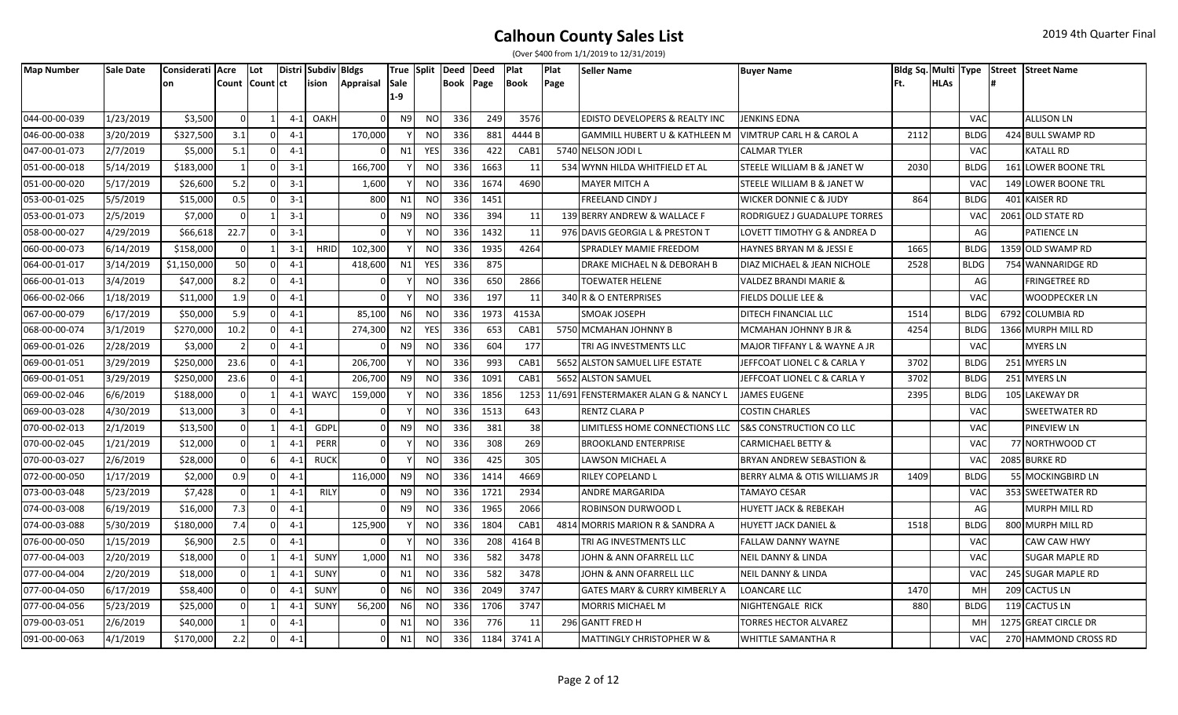| (Over \$400 from 1/1/2019 to 12/31/2019) |  |
|------------------------------------------|--|
|------------------------------------------|--|

| <b>Map Number</b> | Sale Date | Considerati   Acre |                | Lot            |         | Distri Subdiv Bldgs |                  |                |            | True Split Deed Deed |      | Plat   | Plat | <b>Seller Name</b>                   | <b>Buyer Name</b>                   |      |             |             | Bldg Sq. Multi Type Street Street Name |
|-------------------|-----------|--------------------|----------------|----------------|---------|---------------------|------------------|----------------|------------|----------------------|------|--------|------|--------------------------------------|-------------------------------------|------|-------------|-------------|----------------------------------------|
|                   |           | on                 |                | Count Count ct |         | ision               | <b>Appraisal</b> | Sale           |            | <b>Book Page</b>     |      | Book   | Page |                                      |                                     | Ft.  | <b>HLAs</b> |             |                                        |
|                   |           |                    |                |                |         |                     |                  | 1-9            |            |                      |      |        |      |                                      |                                     |      |             |             |                                        |
| 044-00-00-039     | 1/23/2019 | \$3,500            |                |                | $4 - 1$ | OAKH                |                  | N <sub>9</sub> | NO.        | 336                  | 249  | 3576   |      | EDISTO DEVELOPERS & REALTY INC       | JENKINS EDNA                        |      |             | <b>VAC</b>  | <b>ALLISON LN</b>                      |
| 046-00-00-038     | 3/20/2019 | \$327,500          | 3.1            |                | $4 - 1$ |                     | 170,000          |                | <b>NO</b>  | 336                  | 881  | 4444 B |      | GAMMILL HUBERT U & KATHLEEN M        | VIMTRUP CARL H & CAROL A            | 2112 |             | <b>BLDG</b> | 424 BULL SWAMP RD                      |
| 047-00-01-073     | 2/7/2019  | \$5,000            | 5.1            |                | $4 - 1$ |                     |                  | N1             | <b>YES</b> | 336                  | 422  | CAB1   |      | 5740 NELSON JODI L                   | CALMAR TYLER                        |      |             | <b>VAC</b>  | <b>KATALL RD</b>                       |
| 051-00-00-018     | 5/14/2019 | \$183,000          |                |                | $3 - 1$ |                     | 166,700          |                | <b>NO</b>  | 336                  | 1663 | 11     |      | 534 WYNN HILDA WHITFIELD ET AL       | STEELE WILLIAM B & JANET W          | 2030 |             | <b>BLDG</b> | 161 LOWER BOONE TRL                    |
| 051-00-00-020     | 5/17/2019 | \$26,600           | 5.2            |                | $3 - 1$ |                     | 1,600            |                | <b>NO</b>  | 336                  | 1674 | 4690   |      | <b>MAYER MITCH A</b>                 | STEELE WILLIAM B & JANET W          |      |             | <b>VAC</b>  | 149 LOWER BOONE TRL                    |
| 053-00-01-025     | 5/5/2019  | \$15,000           | 0.5            |                | $3 - 1$ |                     | 800              | N1             | <b>NO</b>  | 336                  | 1451 |        |      | <b>FREELAND CINDY J</b>              | <b>WICKER DONNIE C &amp; JUDY</b>   | 864  |             | <b>BLDG</b> | 401 KAISER RD                          |
| 053-00-01-073     | 2/5/2019  | \$7,000            | $\Omega$       |                | $3 - 1$ |                     |                  | N <sub>9</sub> | NO         | 336                  | 394  | 11     |      | 139 BERRY ANDREW & WALLACE F         | RODRIGUEZ J GUADALUPE TORRES        |      |             | <b>VAC</b>  | 2061 OLD STATE RD                      |
| 058-00-00-027     | 4/29/2019 | \$66,618           | 22.7           |                | $3 - 1$ |                     |                  |                | <b>NO</b>  | 336                  | 1432 | 11     |      | 976 DAVIS GEORGIA L & PRESTON T      | LOVETT TIMOTHY G & ANDREA D         |      |             | AG          | <b>PATIENCE LN</b>                     |
| 060-00-00-073     | 6/14/2019 | \$158,000          | 0              |                | $3 - 1$ | <b>HRID</b>         | 102,300          |                | NO         | 336                  | 1935 | 4264   |      | SPRADLEY MAMIE FREEDOM               | HAYNES BRYAN M & JESSI E            | 1665 |             | <b>BLDG</b> | 1359 OLD SWAMP RD                      |
| 064-00-01-017     | 3/14/2019 | \$1,150,000        | 50             |                | $4 - 1$ |                     | 418,600          | N1             | <b>YES</b> | 336                  | 875  |        |      | DRAKE MICHAEL N & DEBORAH B          | DIAZ MICHAEL & JEAN NICHOLE         | 2528 |             | <b>BLDG</b> | 754 WANNARIDGE RD                      |
| 066-00-01-013     | 3/4/2019  | \$47,000           | 8.2            |                | $4 - 1$ |                     |                  |                | <b>NO</b>  | 336                  | 650  | 2866   |      | <b>TOEWATER HELENE</b>               | VALDEZ BRANDI MARIE &               |      |             | AG          | <b>FRINGETREE RD</b>                   |
| 066-00-02-066     | 1/18/2019 | \$11,000           | 1.9            |                | 4-1     |                     |                  |                | <b>NO</b>  | 336                  | 197  | 11     |      | 340 R & O ENTERPRISES                | FIELDS DOLLIE LEE &                 |      |             | <b>VAC</b>  | <b>WOODPECKER LN</b>                   |
| 067-00-00-079     | 6/17/2019 | \$50,000           | 5.9            |                | $4 - 1$ |                     | 85,100           | N <sub>6</sub> | <b>NO</b>  | 336                  | 1973 | 4153A  |      | <b>SMOAK JOSEPH</b>                  | DITECH FINANCIAL LLC                | 1514 |             | <b>BLDG</b> | 6792 COLUMBIA RD                       |
| 068-00-00-074     | 3/1/2019  | \$270,000          | 10.2           |                | $4 - 1$ |                     | 274,300          | N <sub>2</sub> | YES        | 336                  | 653  | CAB1   |      | 5750 MCMAHAN JOHNNY B                | MCMAHAN JOHNNY B JR &               | 4254 |             | <b>BLDG</b> | 1366 MURPH MILL RD                     |
| 069-00-01-026     | 2/28/2019 | \$3,000            | $\overline{2}$ |                | $4 - 1$ |                     |                  | N <sub>9</sub> | <b>NO</b>  | 336                  | 604  | 177    |      | TRI AG INVESTMENTS LLC               | MAJOR TIFFANY L & WAYNE A JR        |      |             | <b>VAC</b>  | <b>MYERS LN</b>                        |
| 069-00-01-051     | 3/29/2019 | \$250,000          | 23.6           |                | $4 - 1$ |                     | 206,700          |                | <b>NO</b>  | 336                  | 993  | CAB1   |      | 5652 ALSTON SAMUEL LIFE ESTATE       | JEFFCOAT LIONEL C & CARLA Y         | 3702 |             | <b>BLDG</b> | 251 MYERS LN                           |
| 069-00-01-051     | 3/29/2019 | \$250,000          | 23.6           |                | $4 - 1$ |                     | 206,700          | N <sub>9</sub> | <b>NO</b>  | 336                  | 1091 | CAB:   |      | 5652 ALSTON SAMUEL                   | JEFFCOAT LIONEL C & CARLA Y         | 3702 |             | <b>BLDG</b> | 251 MYERS LN                           |
| 069-00-02-046     | 6/6/2019  | \$188,000          |                |                | $4 - 1$ | WAYC                | 159,000          |                | NO         | 336                  | 1856 | 1253   |      | 11/691 FENSTERMAKER ALAN G & NANCY L | <b>JAMES EUGENE</b>                 | 2395 |             | <b>BLDG</b> | 105 LAKEWAY DR                         |
| 069-00-03-028     | 4/30/2019 | \$13,000           | 3              |                | $4 - 1$ |                     |                  |                | <b>NO</b>  | 336                  | 1513 | 643    |      | RENTZ CLARA P                        | <b>COSTIN CHARLES</b>               |      |             | <b>VAC</b>  | <b>SWEETWATER RD</b>                   |
| 070-00-02-013     | 2/1/2019  | \$13,500           |                |                | $4 - 1$ | GDPL                |                  | N9             | <b>NO</b>  | 336                  | 381  | 38     |      | LIMITLESS HOME CONNECTIONS LLC       | <b>S&amp;S CONSTRUCTION CO LLC</b>  |      |             | <b>VAC</b>  | <b>PINEVIEW LN</b>                     |
| 070-00-02-045     | 1/21/2019 | \$12,000           | $\Omega$       |                | $4 - 1$ | PERR                |                  |                | <b>NO</b>  | 336                  | 308  | 269    |      | <b>BROOKLAND ENTERPRISE</b>          | CARMICHAEL BETTY &                  |      |             | <b>VAC</b>  | 77 NORTHWOOD CT                        |
| 070-00-03-027     | 2/6/2019  | \$28,000           | $\Omega$       |                | $4 - 1$ | <b>RUCK</b>         |                  |                | <b>NO</b>  | 336                  | 425  | 305    |      | LAWSON MICHAEL A                     | <b>BRYAN ANDREW SEBASTION &amp;</b> |      |             | VAC         | 2085 BURKE RD                          |
| 072-00-00-050     | 1/17/2019 | \$2,000            | 0.9            |                | $4 - 1$ |                     | 116,000          | N <sub>9</sub> | NO         | 336                  | 1414 | 4669   |      | RILEY COPELAND L                     | BERRY ALMA & OTIS WILLIAMS JR       | 1409 |             | <b>BLDG</b> | 55 MOCKINGBIRD LN                      |
| 073-00-03-048     | 5/23/2019 | \$7,428            | $\cap$         |                | $4 - 1$ | <b>RILY</b>         |                  | N <sub>9</sub> | NO         | 336                  | 1721 | 2934   |      | <b>ANDRE MARGARIDA</b>               | <b>TAMAYO CESAR</b>                 |      |             | <b>VAC</b>  | 353 SWEETWATER RD                      |
| 074-00-03-008     | 6/19/2019 | \$16,000           | 7.3            |                | $4 - 1$ |                     |                  | N <sub>9</sub> | <b>NO</b>  | 336                  | 1965 | 2066   |      | ROBINSON DURWOOD L                   | <b>HUYETT JACK &amp; REBEKAH</b>    |      |             | AG          | <b>MURPH MILL RD</b>                   |
| 074-00-03-088     | 5/30/2019 | \$180,000          | 7.4            |                | $4 - 1$ |                     | 125,900          |                | <b>NO</b>  | 336                  | 1804 | CAB1   |      | 4814 MORRIS MARION R & SANDRA A      | <b>HUYETT JACK DANIEL &amp;</b>     | 1518 |             | <b>BLDG</b> | 800 MURPH MILL RD                      |
| 076-00-00-050     | 1/15/2019 | \$6,900            | 2.5            |                | $4 - 1$ |                     |                  |                | <b>NO</b>  | 336                  | 208  | 4164B  |      | TRI AG INVESTMENTS LLC               | FALLAW DANNY WAYNE                  |      |             | <b>VAC</b>  | CAW CAW HWY                            |
| 077-00-04-003     | 2/20/2019 | \$18,000           | $\Omega$       |                | $4 - 1$ | SUNY                | 1,000            | N1             | <b>NO</b>  | 336                  | 582  | 3478   |      | JOHN & ANN OFARRELL LLC              | <b>NEIL DANNY &amp; LINDA</b>       |      |             | <b>VAC</b>  | <b>SUGAR MAPLE RD</b>                  |
| 077-00-04-004     | 2/20/2019 | \$18,000           | $\Omega$       |                | $4 - 1$ | SUNY                |                  | N1             | <b>NO</b>  | 336                  | 582  | 3478   |      | JOHN & ANN OFARRELL LLC              | <b>NEIL DANNY &amp; LINDA</b>       |      |             | <b>VAC</b>  | 245 SUGAR MAPLE RD                     |
| 077-00-04-050     | 6/17/2019 | \$58,400           |                |                | $4 - 1$ | SUNY                |                  | N <sub>6</sub> | <b>NO</b>  | 336                  | 2049 | 3747   |      | GATES MARY & CURRY KIMBERLY A        | LOANCARE LLC                        | 1470 |             | MF          | 209 CACTUS LN                          |
| 077-00-04-056     | 5/23/2019 | \$25,000           |                |                | $4 - 1$ | SUNY                | 56,200           | N <sub>6</sub> | <b>NO</b>  | 336                  | 1706 | 3747   |      | MORRIS MICHAEL M                     | NIGHTENGALE RICK                    | 880  |             | <b>BLDG</b> | 119 CACTUS LN                          |
| 079-00-03-051     | 2/6/2019  | \$40,000           |                |                | $4 - 1$ |                     |                  | N1             | NO.        | 336                  | 776  | 11     |      | 296 GANTT FRED H                     | TORRES HECTOR ALVAREZ               |      |             | МH          | 1275 GREAT CIRCLE DR                   |
| 091-00-00-063     | 4/1/2019  | \$170,000          | 2.2            |                | $4 - 1$ |                     |                  | N1             | <b>NO</b>  | 336                  | 1184 | 3741 A |      | <b>MATTINGLY CHRISTOPHER W &amp;</b> | WHITTLE SAMANTHA R                  |      |             | <b>VAC</b>  | 270 HAMMOND CROSS RD                   |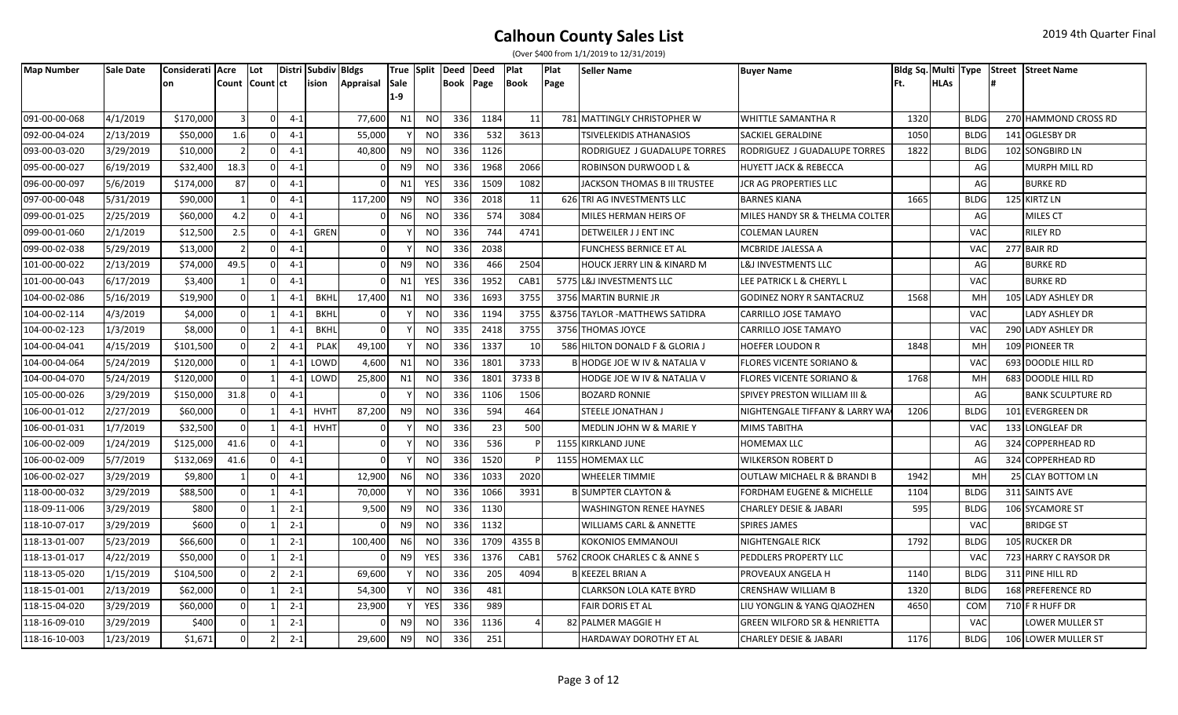| (Over \$400 from 1/1/2019 to 12/31/2019) |
|------------------------------------------|
|------------------------------------------|

| <b>Map Number</b> | Sale Date | Considerati   Acre |                | Lot            |         | Distri Subdiv Bldgs |                 |                |            | True Split Deed Deed |      | Plat  | Plat | <b>Seller Name</b>                      | <b>Buyer Name</b>                       |      |             |             | Bldg Sq. Multi Type Street Street Name |
|-------------------|-----------|--------------------|----------------|----------------|---------|---------------------|-----------------|----------------|------------|----------------------|------|-------|------|-----------------------------------------|-----------------------------------------|------|-------------|-------------|----------------------------------------|
|                   |           | on                 |                | Count Count ct |         |                     | ision Appraisal | <b>Sale</b>    |            | <b>Book Page</b>     |      | Book  | Page |                                         |                                         | Ft.  | <b>HLAs</b> |             |                                        |
|                   |           |                    |                |                |         |                     |                 | 1-9            |            |                      |      |       |      |                                         |                                         |      |             |             |                                        |
| 091-00-00-068     | 4/1/2019  | \$170,000          | 3              |                | 4-1     |                     | 77,600          | N1             | NO         | 336                  | 1184 | 11    |      | 781 MATTINGLY CHRISTOPHER W             | <b>WHITTLE SAMANTHA R</b>               | 1320 |             | <b>BLDG</b> | 270 HAMMOND CROSS RD                   |
| 092-00-04-024     | 2/13/2019 | \$50,000           | 1.6            |                | 4-1     |                     | 55,000          |                | <b>NO</b>  | 336                  | 532  | 3613  |      | TSIVELEKIDIS ATHANASIOS                 | SACKIEL GERALDINE                       | 1050 |             | <b>BLDG</b> | 141 OGLESBY DR                         |
| 093-00-03-020     | 3/29/2019 | \$10,000           |                |                | $4 - 1$ |                     | 40,800          | N <sub>9</sub> | <b>NO</b>  | 336                  | 1126 |       |      | RODRIGUEZ J GUADALUPE TORRES            | RODRIGUEZ J GUADALUPE TORRES            | 1822 |             | <b>BLDG</b> | 102 SONGBIRD LN                        |
| 095-00-00-027     | 6/19/2019 | \$32,400           | 18.3           |                | $4 - 1$ |                     |                 | N <sub>9</sub> | <b>NO</b>  | 336                  | 1968 | 2066  |      | ROBINSON DURWOOD L &                    | <b>HUYETT JACK &amp; REBECCA</b>        |      |             | AG          | <b>MURPH MILL RD</b>                   |
| 096-00-00-097     | 5/6/2019  | \$174,000          | 87             |                | $4 - 1$ |                     |                 | N1             | <b>YES</b> | 336                  | 1509 | 1082  |      | <b>JACKSON THOMAS B III TRUSTEE</b>     | JCR AG PROPERTIES LLC                   |      |             | AG          | <b>BURKE RD</b>                        |
| 097-00-00-048     | 5/31/2019 | \$90,000           |                |                | $4 - 1$ |                     | 117,200         | N <sub>9</sub> | <b>NO</b>  | 336                  | 2018 | 11    |      | 626 TRI AG INVESTMENTS LLC              | <b>BARNES KIANA</b>                     | 1665 |             | <b>BLDG</b> | 125 KIRTZ LN                           |
| 099-00-01-025     | 2/25/2019 | \$60,000           | 4.2            |                | $4 - 1$ |                     |                 | N <sub>6</sub> | <b>NO</b>  | 336                  | 574  | 3084  |      | MILES HERMAN HEIRS OF                   | MILES HANDY SR & THELMA COLTER          |      |             | AG          | <b>MILES CT</b>                        |
| 099-00-01-060     | 2/1/2019  | \$12,500           | 2.5            |                | $4 - 1$ | GREN                |                 |                | <b>NO</b>  | 336                  | 744  | 4741  |      | DETWEILER J J ENT INC                   | COLEMAN LAUREN                          |      |             | <b>VAC</b>  | <b>RILEY RD</b>                        |
| 099-00-02-038     | 5/29/2019 | \$13,000           | $\overline{2}$ |                | $4 - 1$ |                     |                 |                | <b>NO</b>  | 336                  | 2038 |       |      | <b>FUNCHESS BERNICE ET AL</b>           | MCBRIDE JALESSA A                       |      |             | VAC         | 277 BAIR RD                            |
| 101-00-00-022     | 2/13/2019 | \$74,000           | 49.5           |                | $4 - 1$ |                     |                 | N9             | <b>NO</b>  | 336                  | 466  | 2504  |      | HOUCK JERRY LIN & KINARD M              | L&J INVESTMENTS LLC                     |      |             | AG          | <b>BURKE RD</b>                        |
| 101-00-00-043     | 6/17/2019 | \$3,400            |                |                | $4 - 1$ |                     |                 | N1             | <b>YES</b> | 336                  | 1952 | CAB1  |      | 5775 L&J INVESTMENTS LLC                | LEE PATRICK L & CHERYL L                |      |             | <b>VAC</b>  | <b>BURKE RD</b>                        |
| 104-00-02-086     | 5/16/2019 | \$19,900           |                |                | $4 - 1$ | <b>BKHL</b>         | 17,400          | N1             | <b>NO</b>  | 336                  | 1693 | 3755  |      | 3756 MARTIN BURNIE JR                   | <b>GODINEZ NORY R SANTACRUZ</b>         | 1568 |             | MH          | 105 LADY ASHLEY DR                     |
| 104-00-02-114     | 4/3/2019  | \$4,000            |                |                | $4 - 1$ | <b>BKHL</b>         |                 |                | <b>NO</b>  | 336                  | 1194 | 3755  |      | &3756 TAYLOR -MATTHEWS SATIDRA          | CARRILLO JOSE TAMAYO                    |      |             | <b>VAC</b>  | LADY ASHLEY DR                         |
| 104-00-02-123     | 1/3/2019  | \$8,000            |                |                | $4 - 1$ | <b>BKHL</b>         |                 |                | <b>NO</b>  | 335                  | 2418 | 3755  |      | 3756 THOMAS JOYCE                       | CARRILLO JOSE TAMAYO                    |      |             | <b>VAC</b>  | 290 LADY ASHLEY DR                     |
| 104-00-04-041     | 4/15/2019 | \$101,500          |                |                | $4 - 1$ | PLAK                | 49,100          |                | <b>NO</b>  | 336                  | 1337 | 10    |      | 586 HILTON DONALD F & GLORIA J          | <b>HOEFER LOUDON R</b>                  | 1848 |             | MH          | 109 PIONEER TR                         |
| 104-00-04-064     | 5/24/2019 | \$120,000          |                |                | $4 - 1$ | LOWD                | 4,600           | N1             | <b>NO</b>  | 336                  | 1801 | 3733  |      | <b>B HODGE JOE W IV &amp; NATALIA V</b> | FLORES VICENTE SORIANO &                |      |             | <b>VAC</b>  | 693 DOODLE HILL RD                     |
| 104-00-04-070     | 5/24/2019 | \$120,000          |                |                | $4 - 1$ | LOWD                | 25,800          | N1             | <b>NO</b>  | 336                  | 1801 | 3733B |      | HODGE JOE W IV & NATALIA V              | <b>FLORES VICENTE SORIANO &amp;</b>     | 1768 |             | MH          | 683 DOODLE HILL RD                     |
| 105-00-00-026     | 3/29/2019 | \$150,000          | 31.8           | $\Omega$       | $4 - 1$ |                     |                 |                | NO         | 336                  | 1106 | 1506  |      | <b>BOZARD RONNIE</b>                    | SPIVEY PRESTON WILLIAM III &            |      |             | AG          | <b>BANK SCULPTURE RD</b>               |
| 106-00-01-012     | 2/27/2019 | \$60,000           |                |                | $4 - 1$ | <b>HVHT</b>         | 87,200          | N <sub>9</sub> | <b>NO</b>  | 336                  | 594  | 464   |      | STEELE JONATHAN J                       | NIGHTENGALE TIFFANY & LARRY WA          | 1206 |             | <b>BLDG</b> | 101 EVERGREEN DR                       |
| 106-00-01-031     | 1/7/2019  | \$32,500           |                |                | $4 - 1$ | <b>HVHT</b>         |                 |                | <b>NO</b>  | 336                  | 23   | 500   |      | MEDLIN JOHN W & MARIE Y                 | MIMS TABITHA                            |      |             | <b>VAC</b>  | 133 LONGLEAF DR                        |
| 106-00-02-009     | 1/24/2019 | \$125,000          | 41.6           |                | $4 - 1$ |                     |                 |                | <b>NO</b>  | 336                  | 536  |       |      | 1155 KIRKLAND JUNE                      | <b>HOMEMAX LLC</b>                      |      |             | AG          | 324 COPPERHEAD RD                      |
| 106-00-02-009     | 5/7/2019  | \$132,069          | 41.6           |                | $4 - 1$ |                     |                 |                | NO         | 336                  | 1520 |       |      | 1155 HOMEMAX LLC                        | <b>WILKERSON ROBERT D</b>               |      |             | AG          | 324 COPPERHEAD RD                      |
| 106-00-02-027     | 3/29/2019 | \$9,800            |                |                | $4 - 1$ |                     | 12,900          | N <sub>6</sub> | <b>NO</b>  | 336                  | 1033 | 2020  |      | <b>WHEELER TIMMIE</b>                   | OUTLAW MICHAEL R & BRANDI B             | 1942 |             | MH          | 25 CLAY BOTTOM LN                      |
| 118-00-00-032     | 3/29/2019 | \$88,500           |                |                | $4 - 1$ |                     | 70,000          |                | NO         | 336                  | 1066 | 3931  |      | <b>B</b> SUMPTER CLAYTON &              | FORDHAM EUGENE & MICHELLE               | 1104 |             | <b>BLDG</b> | 311 SAINTS AVE                         |
| 118-09-11-006     | 3/29/2019 | \$800              |                |                | $2 - 1$ |                     | 9,500           | N9             | NO         | 336                  | 1130 |       |      | <b>WASHINGTON RENEE HAYNES</b>          | <b>CHARLEY DESIE &amp; JABARI</b>       | 595  |             | <b>BLDG</b> | 106 SYCAMORE ST                        |
| 118-10-07-017     | 3/29/2019 | \$600              |                |                | $2 - 1$ |                     |                 | N <sub>9</sub> | <b>NO</b>  | 336                  | 1132 |       |      | WILLIAMS CARL & ANNETTE                 | <b>SPIRES JAMES</b>                     |      |             | <b>VAC</b>  | <b>BRIDGE ST</b>                       |
| 118-13-01-007     | 5/23/2019 | \$66,600           |                |                | $2 - 1$ |                     | 100,400         | N <sub>6</sub> | <b>NO</b>  | 336                  | 1709 | 4355B |      | <b>KOKONIOS EMMANOUI</b>                | NIGHTENGALE RICK                        | 1792 |             | <b>BLDG</b> | 105 RUCKER DR                          |
| 118-13-01-017     | 4/22/2019 | \$50,000           |                |                | $2 - 1$ |                     |                 | N9             | YES        | 336                  | 1376 | CAB1  |      | 5762 CROOK CHARLES C & ANNE S           | PEDDLERS PROPERTY LLC                   |      |             | <b>VAC</b>  | 723 HARRY C RAYSOR DR                  |
| 118-13-05-020     | 1/15/2019 | \$104,500          |                |                | $2 - 1$ |                     | 69,600          |                | <b>NO</b>  | 336                  | 205  | 4094  |      | <b>B</b> KEEZEL BRIAN A                 | PROVEAUX ANGELA H                       | 1140 |             | <b>BLDG</b> | 311 PINE HILL RD                       |
| 118-15-01-001     | 2/13/2019 | \$62,000           |                |                | $2 - 1$ |                     | 54,300          |                | <b>NO</b>  | 336                  | 481  |       |      | <b>CLARKSON LOLA KATE BYRD</b>          | CRENSHAW WILLIAM B                      | 1320 |             | <b>BLDG</b> | 168 PREFERENCE RD                      |
| 118-15-04-020     | 3/29/2019 | \$60,000           |                |                | $2 - 1$ |                     | 23,900          |                | <b>YES</b> | 336                  | 989  |       |      | <b>FAIR DORIS ET AL</b>                 | LIU YONGLIN & YANG QIAOZHEN             | 465C |             | COM         | 710 F R HUFF DR                        |
| 118-16-09-010     | 3/29/2019 | \$400              |                |                | $2 - 1$ |                     |                 | N <sub>9</sub> | <b>NO</b>  | 336                  | 1136 |       |      | 82 PALMER MAGGIE H                      | <b>GREEN WILFORD SR &amp; HENRIETTA</b> |      |             | <b>VAC</b>  | <b>LOWER MULLER ST</b>                 |
| 118-16-10-003     | 1/23/2019 | \$1,671            |                |                | $2 - 1$ |                     | 29,600          | N <sub>9</sub> | <b>NO</b>  | 336                  | 251  |       |      | HARDAWAY DOROTHY ET AL                  | <b>CHARLEY DESIE &amp; JABARI</b>       | 1176 |             | <b>BLDG</b> | 106 LOWER MULLER ST                    |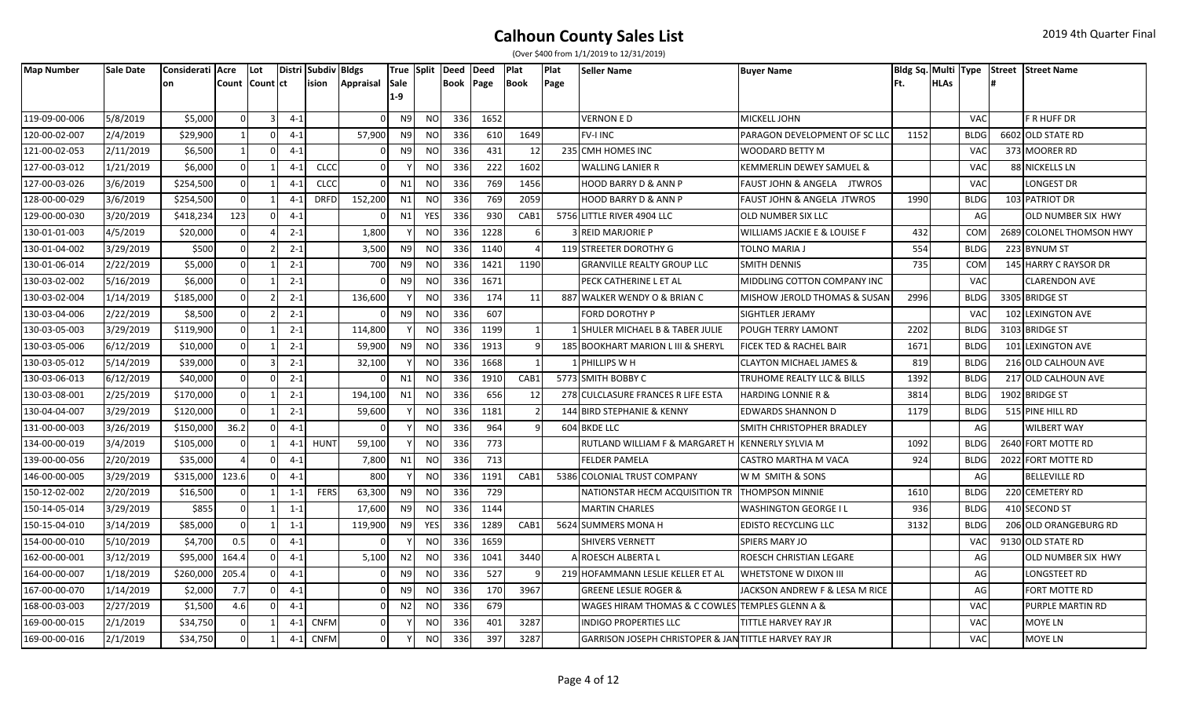| <b>Map Number</b> | Sale Date | Considerati Acre |                 | Lot            |         | Distri Subdiv Bldgs |                  |                |            | True Split Deed Deed |      | <b>Plat</b> | Plat | <b>Seller Name</b>                                    | <b>Buyer Name</b>                               |      |             |             | Bldg Sq. Multi Type Street Street Name |
|-------------------|-----------|------------------|-----------------|----------------|---------|---------------------|------------------|----------------|------------|----------------------|------|-------------|------|-------------------------------------------------------|-------------------------------------------------|------|-------------|-------------|----------------------------------------|
|                   |           | lon              | Count Count Ict |                |         | lision              | <b>Appraisal</b> | <b>Sale</b>    |            | Book Page            |      | Book        | Page |                                                       |                                                 | Ft.  | <b>HLAs</b> |             |                                        |
|                   |           |                  |                 |                |         |                     |                  | 1-9            |            |                      |      |             |      |                                                       |                                                 |      |             |             |                                        |
| 119-09-00-006     | 5/8/2019  | \$5,000          | 0               | $\overline{3}$ | $4 - 1$ |                     |                  | N <sub>9</sub> | NO I       | 336                  | 1652 |             |      | <b>VERNON E D</b>                                     | MICKELL JOHN                                    |      |             | <b>VAC</b>  | F R HUFF DR                            |
| 120-00-02-007     | 2/4/2019  | \$29,900         | 1               | n              | $4 - 1$ |                     | 57,900           | N <sub>9</sub> | NO         | 336                  | 610  | 1649        |      | FV-I INC                                              | PARAGON DEVELOPMENT OF SC LLO                   | 1152 |             | <b>BLDG</b> | 6602 OLD STATE RD                      |
| 121-00-02-053     | 2/11/2019 | \$6,500          | $\vert$ 1       | ΩI             | $4 - 1$ |                     |                  | N <sub>9</sub> | <b>NO</b>  | 336                  | 431  | 12          |      | 235 CMH HOMES INC                                     | <b>WOODARD BETTY M</b>                          |      |             | <b>VAC</b>  | 373 MOORER RD                          |
| 127-00-03-012     | 1/21/2019 | \$6,000          | 0               |                | $4 - 1$ | <b>CLCC</b>         |                  |                | <b>NO</b>  | 336                  | 222  | 1602        |      | WALLING LANIER R                                      | KEMMERLIN DEWEY SAMUEL &                        |      |             | <b>VAC</b>  | 88 NICKELLS LN                         |
| 127-00-03-026     | 3/6/2019  | \$254,500        | 0               |                | 4-1     | <b>CLCC</b>         |                  | N1             | <b>NO</b>  | 336                  | 769  | 1456        |      | HOOD BARRY D & ANN P                                  | <b>FAUST JOHN &amp; ANGELA</b><br><b>JTWROS</b> |      |             | <b>VAC</b>  | LONGEST DR                             |
| 128-00-00-029     | 3/6/2019  | \$254,500        | $\overline{0}$  |                | $4-2$   | <b>DRFD</b>         | 152,200          | N1             | <b>NO</b>  | 336                  | 769  | 2059        |      | <b>HOOD BARRY D &amp; ANN P</b>                       | FAUST JOHN & ANGELA JTWROS                      | 1990 |             | <b>BLDG</b> | 103 PATRIOT DR                         |
| 129-00-00-030     | 3/20/2019 | \$418,234        | 123             | $\Omega$       | $4 - 1$ |                     |                  | N1             | <b>YES</b> | 336                  | 930  | CAB1        |      | 5756 LITTLE RIVER 4904 LLC                            | OLD NUMBER SIX LLC                              |      |             | AG          | OLD NUMBER SIX HWY                     |
| 130-01-01-003     | 4/5/2019  | \$20,000         | $\overline{0}$  |                | $2 - 1$ |                     | 1,800            |                | <b>NO</b>  | 336                  | 1228 |             |      | <b>REID MARJORIE P</b>                                | WILLIAMS JACKIE E & LOUISE F                    | 432  |             | <b>COM</b>  | 2689 COLONEL THOMSON HWY               |
| 130-01-04-002     | 3/29/2019 | \$500            | $\overline{0}$  |                | $2 - 1$ |                     | 3,500            | N9             | <b>NO</b>  | 336                  | 1140 |             |      | 119 STREETER DOROTHY G                                | TOLNO MARIA J                                   | 554  |             | <b>BLDG</b> | 223 BYNUM ST                           |
| 130-01-06-014     | 2/22/2019 | \$5,000          | $\Omega$        |                | $2 - 1$ |                     | 700              | N9             | <b>NO</b>  | 336                  | 1421 | 1190        |      | <b>GRANVILLE REALTY GROUP LLC</b>                     | <b>SMITH DENNIS</b>                             | 735  |             | <b>COM</b>  | 145 HARRY C RAYSOR DR                  |
| 130-03-02-002     | 5/16/2019 | \$6,000          | $\Omega$        |                | $2 - 1$ |                     |                  | N <sub>9</sub> | <b>NO</b>  | 336                  | 1671 |             |      | PECK CATHERINE L ET AL                                | MIDDLING COTTON COMPANY INC                     |      |             | <b>VAC</b>  | <b>CLARENDON AVE</b>                   |
| 130-03-02-004     | 1/14/2019 | \$185,000        | 0               |                | $2 - 1$ |                     | 136,600          |                | <b>NO</b>  | 336                  | 174  | 11          |      | 887 WALKER WENDY O & BRIAN C                          | MISHOW JEROLD THOMAS & SUSAN                    | 2996 |             | <b>BLDG</b> | 3305 BRIDGE ST                         |
| 130-03-04-006     | 2/22/2019 | \$8,500          | $\Omega$        |                | $2 - 1$ |                     |                  | N9             | <b>NO</b>  | 336                  | 607  |             |      | <b>FORD DOROTHY P</b>                                 | SIGHTLER JERAMY                                 |      |             | <b>VAC</b>  | 102 LEXINGTON AVE                      |
| 130-03-05-003     | 3/29/2019 | \$119,900        | 0               |                | $2 - 1$ |                     | 114,800          |                | <b>NO</b>  | 336                  | 1199 |             |      | <b>SHULER MICHAEL B &amp; TABER JULIE</b>             | <b>POUGH TERRY LAMONT</b>                       | 2202 |             | <b>BLDG</b> | 3103 BRIDGE ST                         |
| 130-03-05-006     | 6/12/2019 | \$10,000         | $\Omega$        |                | $2 - 1$ |                     | 59,900           | N <sub>9</sub> | <b>NO</b>  | 336                  | 1913 |             |      | 185 BOOKHART MARION L III & SHERYL                    | FICEK TED & RACHEL BAIR                         | 1671 |             | <b>BLDG</b> | 101 LEXINGTON AVE                      |
| 130-03-05-012     | 5/14/2019 | \$39,000         | <sup>0</sup>    |                | $2 - 1$ |                     | 32,100           |                | <b>NO</b>  | 336                  | 1668 |             |      | PHILLIPS W H                                          | <b>CLAYTON MICHAEL JAMES &amp;</b>              | 819  |             | <b>BLDG</b> | 216 OLD CALHOUN AVE                    |
| 130-03-06-013     | 6/12/2019 | \$40,000         | $\Omega$        |                | $2 - 1$ |                     |                  | N1             | NO         | 336                  | 1910 | CAB1        |      | 5773 SMITH BOBBY C                                    | TRUHOME REALTY LLC & BILLS                      | 1392 |             | <b>BLDG</b> | 217 OLD CALHOUN AVE                    |
| 130-03-08-001     | 2/25/2019 | \$170,000        | $\Omega$        |                | $2 - 1$ |                     | 194,100          | N1             | <b>NO</b>  | 336                  | 656  | 12          |      | 278 CULCLASURE FRANCES R LIFE ESTA                    | <b>HARDING LONNIE R &amp;</b>                   | 3814 |             | <b>BLDG</b> | 1902 BRIDGE ST                         |
| 130-04-04-007     | 3/29/2019 | \$120,000        | $\Omega$        |                | $2 - 1$ |                     | 59,600           |                | <b>NO</b>  | 336                  | 1181 |             |      | 144 BIRD STEPHANIE & KENNY                            | EDWARDS SHANNON D                               | 1179 |             | <b>BLDG</b> | 515 PINE HILL RD                       |
| 131-00-00-003     | 3/26/2019 | \$150,000        | 36.2            |                | $4 - 1$ |                     |                  |                | NO.        | 336                  | 964  |             |      | 604 BKDE LLC                                          | SMITH CHRISTOPHER BRADLEY                       |      |             | AG          | <b>WILBERT WAY</b>                     |
| 134-00-00-019     | 3/4/2019  | \$105,000        | $\Omega$        |                | $4 - 1$ | <b>HUNT</b>         | 59,100           |                | <b>NO</b>  | 336                  | 773  |             |      | RUTLAND WILLIAM F & MARGARET H                        | <b>KENNERLY SYLVIA M</b>                        | 1092 |             | <b>BLDG</b> | 2640 FORT MOTTE RD                     |
| 139-00-00-056     | 2/20/2019 | \$35,000         |                 | $\Omega$       | $4 - 1$ |                     | 7,800            | N1             | <b>NO</b>  | 336                  | 713  |             |      | <b>FELDER PAMELA</b>                                  | CASTRO MARTHA M VACA                            | 924  |             | <b>BLDG</b> | 2022 FORT MOTTE RD                     |
| 146-00-00-005     | 3/29/2019 | \$315,000        | 123.6           | n              | $4 - 1$ |                     | 800              |                | <b>NO</b>  | 336                  | 1191 | CAB1        |      | 5386 COLONIAL TRUST COMPANY                           | W M SMITH & SONS                                |      |             | AG          | <b>BELLEVILLE RD</b>                   |
| 150-12-02-002     | 2/20/2019 | \$16,500         | $\overline{0}$  |                | $1 - 1$ | <b>FERS</b>         | 63,300           | N9             | <b>NO</b>  | 336                  | 729  |             |      | NATIONSTAR HECM ACQUISITION TR                        | <b>THOMPSON MINNIE</b>                          | 1610 |             | <b>BLDG</b> | 220 CEMETERY RD                        |
| 150-14-05-014     | 3/29/2019 | \$855            | $\overline{0}$  |                | $1 - 1$ |                     | 17,600           | N9             | NO         | 336                  | 1144 |             |      | <b>MARTIN CHARLES</b>                                 | <b>WASHINGTON GEORGE I L</b>                    | 936  |             | <b>BLDG</b> | 410 SECOND ST                          |
| 150-15-04-010     | 3/14/2019 | \$85,000         | $\Omega$        |                | $1 - 1$ |                     | 119,900          | N9             | <b>YES</b> | 336                  | 1289 | CAB1        |      | 5624 SUMMERS MONA H                                   | EDISTO RECYCLING LLC                            | 3132 |             | <b>BLDG</b> | 206 OLD ORANGEBURG RD                  |
| 154-00-00-010     | 5/10/2019 | \$4,700          | 0.5             |                | $4 - 1$ |                     |                  |                | NO         | 336                  | 1659 |             |      | <b>SHIVERS VERNETT</b>                                | SPIERS MARY JO                                  |      |             | <b>VAC</b>  | 9130 OLD STATE RD                      |
| 162-00-00-001     | 3/12/2019 | \$95,000         | 164.4           | <sup>0</sup>   | $4 - 1$ |                     | 5,100            | N <sub>2</sub> | NO.        | 336                  | 1041 | 3440        |      | A ROESCH ALBERTA L                                    | ROESCH CHRISTIAN LEGARE                         |      |             | AG          | OLD NUMBER SIX HWY                     |
| 164-00-00-007     | 1/18/2019 | \$260,000        | 205.4           | $\Omega$       | $4 - 1$ |                     |                  | N9             | <b>NO</b>  | 336                  | 527  |             |      | 219 HOFAMMANN LESLIE KELLER ET AL                     | WHETSTONE W DIXON III                           |      |             | AG          | LONGSTEET RD                           |
| 167-00-00-070     | 1/14/2019 | \$2,000          | 7.7             | $\Omega$       | $4 - 1$ |                     |                  | N <sub>9</sub> | NO         | 336                  | 170  | 3967        |      | <b>GREENE LESLIE ROGER &amp;</b>                      | JACKSON ANDREW F & LESA M RICE                  |      |             | AG          | FORT MOTTE RD                          |
| 168-00-03-003     | 2/27/2019 | \$1,500          | 4.6             |                | $4 - 1$ |                     |                  | N <sub>2</sub> | <b>NO</b>  | 336                  | 679  |             |      | WAGES HIRAM THOMAS & C COWLES TEMPLES GLENN A &       |                                                 |      |             | <b>VAC</b>  | PURPLE MARTIN RD                       |
| 169-00-00-015     | 2/1/2019  | \$34,750         | $\overline{0}$  |                | $4 - 1$ | <b>CNFM</b>         |                  |                | <b>NO</b>  | 336                  | 401  | 3287        |      | <b>INDIGO PROPERTIES LLC</b>                          | TITTLE HARVEY RAY JR                            |      |             | <b>VAC</b>  | MOYE LN                                |
| 169-00-00-016     | 2/1/2019  | \$34,750         | $\Omega$        |                | $4 - 1$ | <b>CNFM</b>         |                  |                | <b>NO</b>  | 336                  | 397  | 3287        |      | GARRISON JOSEPH CHRISTOPER & JAN TITTLE HARVEY RAY JR |                                                 |      |             | VAC         | MOYE LN                                |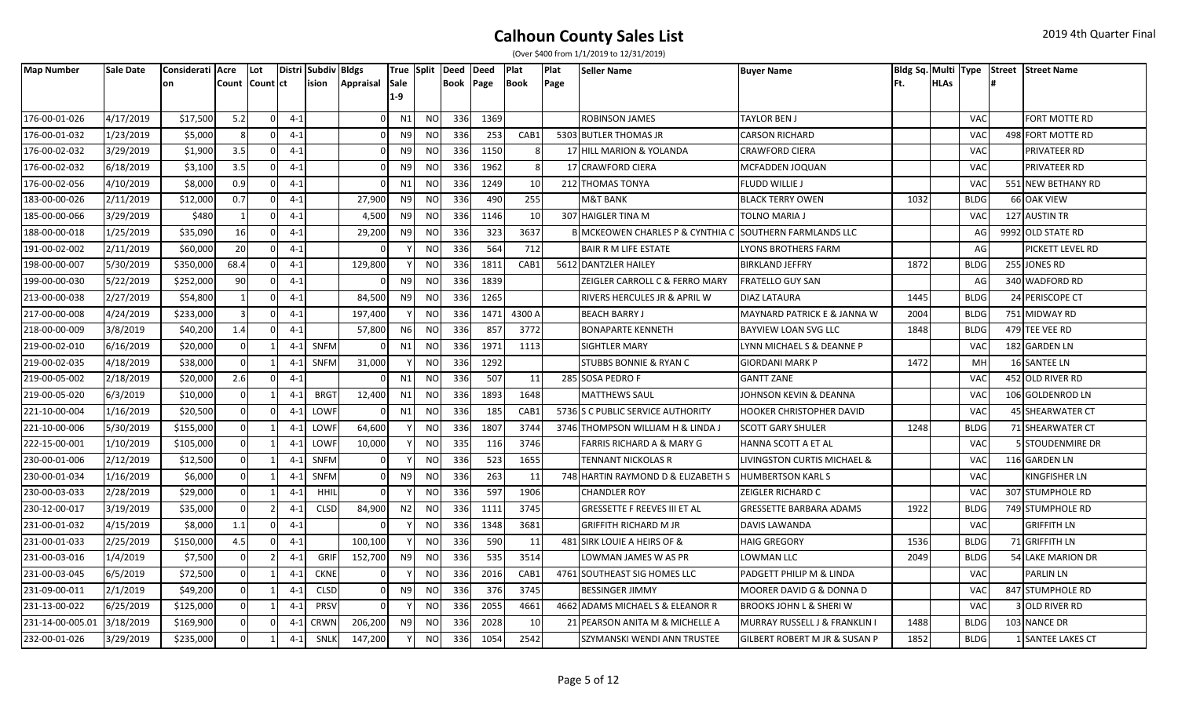| (Over \$400 from 1/1/2019 to 12/31/2019) |
|------------------------------------------|
|------------------------------------------|

| <b>Map Number</b> | Sale Date | Considerati   Acre |                | Lot            |         | Distri Subdiv Bldgs |                   |                |               | True Split Deed Deed |      | Plat         | Plat | <b>Seller Name</b>                          | <b>Buyer Name</b>                  |      |             |             | Bldg Sq. Multi Type Street Street Name |
|-------------------|-----------|--------------------|----------------|----------------|---------|---------------------|-------------------|----------------|---------------|----------------------|------|--------------|------|---------------------------------------------|------------------------------------|------|-------------|-------------|----------------------------------------|
|                   |           | on                 |                | Count Count ct |         |                     | ision   Appraisal | Sale           |               | <b>Book Page</b>     |      | Book         | Page |                                             |                                    | Ft.  | <b>HLAs</b> |             |                                        |
|                   |           |                    |                |                |         |                     |                   | 1-9            |               |                      |      |              |      |                                             |                                    |      |             |             |                                        |
| 176-00-01-026     | 4/17/2019 | \$17,500           | 5.2            |                | 4-1     |                     |                   | N1             | NO            | 336                  | 1369 |              |      | ROBINSON JAMES                              | TAYLOR BEN J                       |      |             | <b>VAC</b>  | FORT MOTTE RD                          |
| 176-00-01-032     | 1/23/2019 | \$5,000            |                |                | $4 - 1$ |                     |                   | N <sub>9</sub> | <b>NO</b>     | 336                  | 253  | CAB1         |      | 5303 BUTLER THOMAS JR                       | CARSON RICHARD                     |      |             | <b>VAC</b>  | 498 FORT MOTTE RD                      |
| 176-00-02-032     | 3/29/2019 | \$1,900            | 3.5            |                | $4 - 1$ |                     |                   | N <sub>9</sub> | <b>NO</b>     | 336                  | 1150 |              |      | 17 HILL MARION & YOLANDA                    | <b>CRAWFORD CIERA</b>              |      |             | <b>VAC</b>  | PRIVATEER RD                           |
| 176-00-02-032     | 6/18/2019 | \$3,100            | 3.5            |                | $4 - 1$ |                     |                   | N <sub>9</sub> | <b>NO</b>     | 336                  | 1962 | $\mathbf{R}$ |      | 17 CRAWFORD CIERA                           | MCFADDEN JOQUAN                    |      |             | <b>VAC</b>  | PRIVATEER RD                           |
| 176-00-02-056     | 4/10/2019 | \$8,000            | 0.9            |                | $4 - 1$ |                     |                   | N1             | <b>NO</b>     | 336                  | 1249 | 10           |      | 212 THOMAS TONYA                            | FLUDD WILLIE J                     |      |             | <b>VAC</b>  | 551 NEW BETHANY RD                     |
| 183-00-00-026     | 2/11/2019 | \$12,000           | 0.7            |                | $4 - 1$ |                     | 27,900            | N <sub>9</sub> | <sub>NO</sub> | 336                  | 490  | 255          |      | <b>M&amp;T BANK</b>                         | <b>BLACK TERRY OWEN</b>            | 1032 |             | <b>BLDG</b> | 66 OAK VIEW                            |
| 185-00-00-066     | 3/29/2019 | \$480              | $\overline{1}$ |                | $4 - 1$ |                     | 4,500             | N <sub>9</sub> | NO            | 336                  | 1146 | 10           |      | 307 HAIGLER TINA M                          | <b>TOLNO MARIA J</b>               |      |             | <b>VAC</b>  | 127 AUSTIN TR                          |
| 188-00-00-018     | 1/25/2019 | \$35,090           | 16             |                | $4 - 1$ |                     | 29,200            | N <sub>9</sub> | <b>NO</b>     | 336                  | 323  | 3637         |      | <b>B MCKEOWEN CHARLES P &amp; CYNTHIA C</b> | SOUTHERN FARMLANDS LLC             |      |             | AG          | 9992 OLD STATE RD                      |
| 191-00-02-002     | 2/11/2019 | \$60,000           | 20             |                | $4 - 1$ |                     |                   |                | <b>NO</b>     | 336                  | 564  | 712          |      | <b>BAIR R M LIFE ESTATE</b>                 | LYONS BROTHERS FARM                |      |             | AG          | PICKETT LEVEL RD                       |
| 198-00-00-007     | 5/30/2019 | \$350,000          | 68.4           |                | $4 - 1$ |                     | 129,800           |                | <b>NO</b>     | 336                  | 1811 | CAB1         |      | 5612 DANTZLER HAILEY                        | <b>BIRKLAND JEFFRY</b>             | 1872 |             | <b>BLDG</b> | 255 JONES RD                           |
| 199-00-00-030     | 5/22/2019 | \$252,000          | 90             |                | $4 - 1$ |                     |                   | N <sub>9</sub> | <b>NO</b>     | 336                  | 1839 |              |      | ZEIGLER CARROLL C & FERRO MARY              | <b>FRATELLO GUY SAN</b>            |      |             | AG          | 340 WADFORD RD                         |
| 213-00-00-038     | 2/27/2019 | \$54,800           |                |                | $4 - 1$ |                     | 84,500            | N9             | <b>NO</b>     | 336                  | 1265 |              |      | RIVERS HERCULES JR & APRIL W                | <b>DIAZ LATAURA</b>                | 1445 |             | <b>BLDG</b> | 24 PERISCOPE CT                        |
| 217-00-00-008     | 4/24/2019 | \$233,000          | 3              |                | $4 - 1$ |                     | 197,400           |                | NO            | 336                  | 1471 | 4300 A       |      | <b>BEACH BARRY J</b>                        | MAYNARD PATRICK E & JANNA W        | 2004 |             | <b>BLDG</b> | 751 MIDWAY RD                          |
| 218-00-00-009     | 3/8/2019  | \$40,200           | 1.4            |                | $4 - 1$ |                     | 57,800            | N <sub>6</sub> | <b>NO</b>     | 336                  | 857  | 3772         |      | <b>BONAPARTE KENNETH</b>                    | BAYVIEW LOAN SVG LLC               | 1848 |             | <b>BLDG</b> | 479 TEE VEE RD                         |
| 219-00-02-010     | 6/16/2019 | \$20,000           | $\cap$         |                | $4 - 1$ | SNFM                |                   | N1             | <b>NO</b>     | 336                  | 1971 | 1113         |      | <b>SIGHTLER MARY</b>                        | LYNN MICHAEL S & DEANNE P          |      |             | <b>VAC</b>  | 182 GARDEN LN                          |
| 219-00-02-035     | 4/18/2019 | \$38,000           | $\Omega$       |                | $4 - 1$ | SNFM                | 31,000            |                | <b>NO</b>     | 336                  | 1292 |              |      | STUBBS BONNIE & RYAN C                      | <b>GIORDANI MARK P</b>             | 1472 |             | MF          | <b>16 SANTEE LN</b>                    |
| 219-00-05-002     | 2/18/2019 | \$20,000           | 2.6            |                | $4 - 1$ |                     |                   | N1             | <b>NO</b>     | 336                  | 507  | 11           |      | 285 SOSA PEDRO F                            | <b>GANTT ZANE</b>                  |      |             | <b>VAC</b>  | 452 OLD RIVER RD                       |
| 219-00-05-020     | 6/3/2019  | \$10,000           |                |                | $4 - 1$ | <b>BRGT</b>         | 12,400            | N1             | NO            | 336                  | 1893 | 1648         |      | <b>MATTHEWS SAUL</b>                        | JOHNSON KEVIN & DEANNA             |      |             | <b>VAC</b>  | 106 GOLDENROD LN                       |
| 221-10-00-004     | 1/16/2019 | \$20,500           | n              |                | $4 - 1$ | LOWF                |                   | N1             | <b>NO</b>     | 336                  | 185  | CAB1         |      | 5736 S C PUBLIC SERVICE AUTHORITY           | HOOKER CHRISTOPHER DAVID           |      |             | VAC         | 45 SHEARWATER CT                       |
| 221-10-00-006     | 5/30/2019 | \$155,000          |                |                | $4 - 1$ | LOWF                | 64,600            |                | <b>NO</b>     | 336                  | 1807 | 3744         |      | 3746 THOMPSON WILLIAM H & LINDA J           | <b>SCOTT GARY SHULER</b>           | 1248 |             | <b>BLDG</b> | 71 SHEARWATER CT                       |
| 222-15-00-001     | 1/10/2019 | \$105,000          | $\Omega$       |                | $4 - 1$ | LOWF                | 10,000            |                | <b>NO</b>     | 335                  | 116  | 3746         |      | <b>FARRIS RICHARD A &amp; MARY G</b>        | HANNA SCOTT A ET AL                |      |             | <b>VAC</b>  | <b>5 STOUDENMIRE DR</b>                |
| 230-00-01-006     | 2/12/2019 | \$12,500           | $\Omega$       |                | $4 - 1$ | SNFM                |                   |                | NO            | 336                  | 523  | 1655         |      | <b>TENNANT NICKOLAS R</b>                   | LIVINGSTON CURTIS MICHAEL &        |      |             | VAC         | 116 GARDEN LN                          |
| 230-00-01-034     | 1/16/2019 | \$6,000            | $\Omega$       |                | $4 - 1$ | SNFM                |                   | N <sub>9</sub> | <b>NO</b>     | 336                  | 263  | 11           |      | 748 HARTIN RAYMOND D & ELIZABETH S          | <b>HUMBERTSON KARLS</b>            |      |             | <b>VAC</b>  | <b>KINGFISHER LN</b>                   |
| 230-00-03-033     | 2/28/2019 | \$29,000           |                |                | $4 - 1$ | HHIL                |                   |                | NO            | 336                  | 597  | 1906         |      | <b>CHANDLER ROY</b>                         | <b>ZEIGLER RICHARD C</b>           |      |             | <b>VAC</b>  | 307 STUMPHOLE RD                       |
| 230-12-00-017     | 3/19/2019 | \$35,000           |                |                | $4 - 1$ | <b>CLSD</b>         | 84,900            | N <sub>2</sub> | <b>NO</b>     | 336                  | 1111 | 3745         |      | <b>GRESSETTE F REEVES III ET AL</b>         | <b>GRESSETTE BARBARA ADAMS</b>     | 1922 |             | <b>BLDG</b> | 749 STUMPHOLE RD                       |
| 231-00-01-032     | 4/15/2019 | \$8,000            | 1.1            |                | $4 - 1$ |                     |                   |                | <b>NO</b>     | 336                  | 1348 | 3681         |      | <b>GRIFFITH RICHARD M JR</b>                | DAVIS LAWANDA                      |      |             | <b>VAC</b>  | <b>GRIFFITH LN</b>                     |
| 231-00-01-033     | 2/25/2019 | \$150,000          | 4.5            |                | $4 - 1$ |                     | 100,100           |                | <b>NO</b>     | 336                  | 590  | 11           |      | 481 SIRK LOUIE A HEIRS OF &                 | <b>HAIG GREGORY</b>                | 1536 |             | <b>BLDG</b> | 71 GRIFFITH LN                         |
| 231-00-03-016     | 1/4/2019  | \$7,500            | $\Omega$       |                | $4 - 1$ | GRIF                | 152,700           | N <sub>9</sub> | <b>NO</b>     | 336                  | 535  | 3514         |      | LOWMAN JAMES W AS PR                        | LOWMAN LLC                         | 2049 |             | <b>BLDG</b> | 54 LAKE MARION DR                      |
| 231-00-03-045     | 6/5/2019  | \$72,500           |                |                | $4 - 1$ | <b>CKNE</b>         |                   |                | <b>NO</b>     | 336                  | 2016 | CAB1         |      | 4761 SOUTHEAST SIG HOMES LLC                | PADGETT PHILIP M & LINDA           |      |             | <b>VAC</b>  | <b>PARLIN LN</b>                       |
| 231-09-00-011     | 2/1/2019  | \$49,200           |                |                | $4 - 1$ | <b>CLSD</b>         |                   | N <sub>9</sub> | <b>NO</b>     | 336                  | 376  | 3745         |      | <b>BESSINGER JIMMY</b>                      | MOORER DAVID G & DONNA D           |      |             | <b>VAC</b>  | 847 STUMPHOLE RD                       |
| 231-13-00-022     | 6/25/2019 | \$125,000          |                |                | $4 - 1$ | PRSV                |                   |                | <b>NO</b>     | 336                  | 2055 | 4661         |      | 4662 ADAMS MICHAEL S & ELEANOR R            | <b>BROOKS JOHN L &amp; SHERI W</b> |      |             | <b>VAC</b>  | <b>OLD RIVER RD</b>                    |
| 231-14-00-005.01  | 3/18/2019 | \$169,900          |                |                | 4-1     | <b>CRWN</b>         | 206,200           | N9             | <b>NO</b>     | 336                  | 2028 | 10           |      | 21 PEARSON ANITA M & MICHELLE A             | MURRAY RUSSELL J & FRANKLIN I      | 1488 |             | <b>BLDG</b> | 103 NANCE DR                           |
| 232-00-01-026     | 3/29/2019 | \$235,000          | $\Omega$       |                | $4 - 1$ | SNLK                | 147,200           |                | <b>NO</b>     | 336                  | 1054 | 2542         |      | SZYMANSKI WENDI ANN TRUSTEE                 | GILBERT ROBERT M JR & SUSAN P      | 1852 |             | <b>BLDG</b> | 1 SANTEE LAKES CT                      |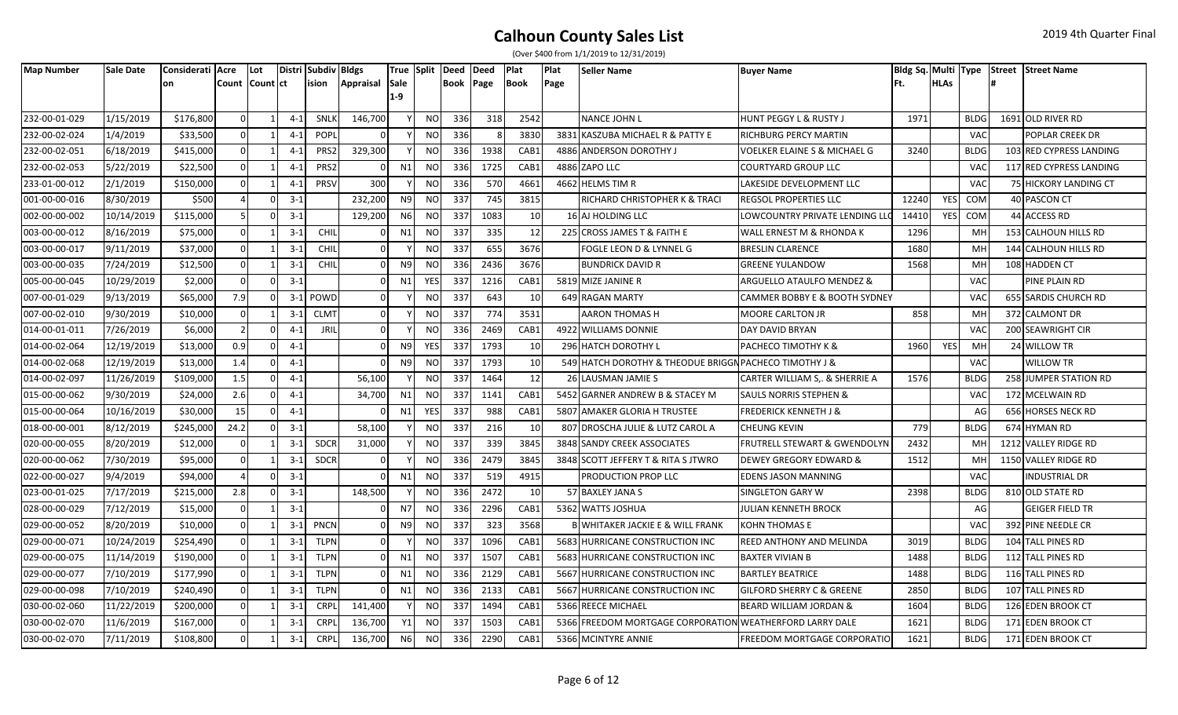| (Over \$400 from 1/1/2019 to 12/31/2019) |  |  |
|------------------------------------------|--|--|
|------------------------------------------|--|--|

| <b>Map Number</b> | Sale Date  | Considerati   Acre |          | Lot                |         | Distri Subdiv Bldgs |                  |                |               | True Split Deed Deed |      | <b>Plat</b> | Plat | <b>Seller Name</b>                                       | <b>Buyer Name</b>                    |       |             |             |     | Bldg Sq. Multi Type Street Street Name |
|-------------------|------------|--------------------|----------|--------------------|---------|---------------------|------------------|----------------|---------------|----------------------|------|-------------|------|----------------------------------------------------------|--------------------------------------|-------|-------------|-------------|-----|----------------------------------------|
|                   |            | <b>on</b>          |          | Count   Count   ct |         | ision               | <b>Appraisal</b> | Sale           |               | Book Page            |      | Book        | Page |                                                          |                                      | Ft.   | <b>HLAs</b> |             |     |                                        |
|                   |            |                    |          |                    |         |                     |                  | 1-9            |               |                      |      |             |      |                                                          |                                      |       |             |             |     |                                        |
| 232-00-01-029     | 1/15/2019  | \$176,800          |          |                    | $4 - 1$ | SNLK                | 146,700          |                | NO            | 336                  | 318  | 2542        |      | NANCE JOHN L                                             | <b>HUNT PEGGY L &amp; RUSTY J</b>    | 1971  |             | <b>BLDG</b> |     | 1691 OLD RIVER RD                      |
| 232-00-02-024     | 1/4/2019   | \$33,500           |          |                    | $4 - 1$ | POPL                |                  |                | <b>NO</b>     | 336                  |      | 3830        |      | 3831 KASZUBA MICHAEL R & PATTY E                         | RICHBURG PERCY MARTIN                |       |             | <b>VAC</b>  |     | POPLAR CREEK DR                        |
| 232-00-02-051     | 6/18/2019  | \$415,000          |          |                    | $4 - 1$ | PRS2                | 329,300          |                | NO.           | 336                  | 1938 | CAB1        |      | 4886 ANDERSON DOROTHY J                                  | VOELKER ELAINE S & MICHAEL G         | 3240  |             | <b>BLDG</b> |     | 103 RED CYPRESS LANDING                |
| 232-00-02-053     | 5/22/2019  | \$22,500           | $\Omega$ |                    | $4 - 1$ | PRS2                |                  | N1             | NO            | 336                  | 1725 | CAB1        |      | 4886 ZAPO LLC                                            | <b>COURTYARD GROUP LLC</b>           |       |             | <b>VAC</b>  |     | 117 RED CYPRESS LANDING                |
| 233-01-00-012     | 2/1/2019   | \$150,000          | $\cap$   |                    | $4 - 1$ | <b>PRSV</b>         | 300              |                | <b>NO</b>     | 336                  | 570  | 4661        |      | 4662 HELMS TIM R                                         | LAKESIDE DEVELOPMENT LLC             |       |             | <b>VAC</b>  |     | 75 HICKORY LANDING CT                  |
| 001-00-00-016     | 8/30/2019  | \$500              |          |                    | $3 - 1$ |                     | 232,200          | N <sub>9</sub> | <b>NO</b>     | 337                  | 745  | 3815        |      | RICHARD CHRISTOPHER K & TRACI                            | <b>REGSOL PROPERTIES LLC</b>         | 12240 | <b>YES</b>  | COM         |     | 40 PASCON CT                           |
| 002-00-00-002     | 10/14/2019 | \$115,000          |          |                    | $3 - 1$ |                     | 129,200          | N <sub>6</sub> | <b>NO</b>     | 337                  | 1083 | 10          |      | 16 AJ HOLDING LLC                                        | LOWCOUNTRY PRIVATE LENDING LL        | 14410 | <b>YES</b>  | COM         |     | 44 ACCESS RD                           |
| 003-00-00-012     | 8/16/2019  | \$75,000           |          |                    | $3 - 1$ | CHIL                |                  | N1             | NO.           | 337                  | 335  | 12          |      | 225 CROSS JAMES T & FAITH E                              | WALL ERNEST M & RHONDA K             | 1296  |             | MH          |     | 153 CALHOUN HILLS RD                   |
| 003-00-00-017     | 9/11/2019  | \$37,000           | $\Omega$ |                    | $3 - 1$ | CHIL                |                  |                | <b>NO</b>     | 337                  | 655  | 3676        |      | FOGLE LEON D & LYNNEL G                                  | <b>BRESLIN CLARENCE</b>              | 1680  |             | MH          |     | 144 CALHOUN HILLS RD                   |
| 003-00-00-035     | 7/24/2019  | \$12,500           | $\Omega$ |                    | $3-1$   | CHIL                |                  | N9             | NO            | 336                  | 2436 | 3676        |      | <b>BUNDRICK DAVID R</b>                                  | <b>GREENE YULANDOW</b>               | 1568  |             | MH          |     | 108 HADDEN CT                          |
| 005-00-00-045     | 10/29/2019 | \$2,000            | $\cap$   |                    | $3 - 1$ |                     |                  | N1             | <b>YES</b>    | 337                  | 1216 | CAB1        |      | 5819 MIZE JANINE R                                       | ARGUELLO ATAULFO MENDEZ &            |       |             | <b>VAC</b>  |     | PINE PLAIN RD                          |
| 007-00-01-029     | 9/13/2019  | \$65,000           | 7.9      |                    |         | 3-1 POWD            |                  |                | <b>NO</b>     | 337                  | 643  | 10          |      | 649 RAGAN MARTY                                          | CAMMER BOBBY E & BOOTH SYDNEY        |       |             | <b>VAC</b>  |     | 655 SARDIS CHURCH RD                   |
| 007-00-02-010     | 9/30/2019  | \$10,000           | $\cap$   |                    | $3 - 1$ | <b>CLMT</b>         |                  |                | NO.           | 337                  | 774  | 3531        |      | AARON THOMAS H                                           | MOORE CARLTON JR                     | 858   |             | MH          |     | 372 CALMONT DR                         |
| 014-00-01-011     | 7/26/2019  | \$6,000            |          |                    | $4 - 1$ | <b>JRIL</b>         |                  |                | NO            | 336                  | 2469 | CAB1        |      | 4922 WILLIAMS DONNIE                                     | DAY DAVID BRYAN                      |       |             | <b>VAC</b>  |     | 200 SEAWRIGHT CIR                      |
| 014-00-02-064     | 12/19/2019 | \$13,000           | 0.9      |                    | $4 - 1$ |                     |                  | N <sub>9</sub> | YES           | 337                  | 1793 | 10          |      | 296 HATCH DOROTHY L                                      | PACHECO TIMOTHY K &                  | 1960  | YES         | MH          |     | 24 WILLOW TR                           |
| 014-00-02-068     | 12/19/2019 | \$13,000           | 1.4      |                    | $4 - 1$ |                     |                  | N <sub>9</sub> | <b>NO</b>     | 337                  | 1793 | 10          |      | 549 HATCH DOROTHY & THEODUE BRIGGN PACHECO TIMOTHY J &   |                                      |       |             | <b>VAC</b>  |     | <b>WILLOW TR</b>                       |
| 014-00-02-097     | 11/26/2019 | \$109,000          | 1.5      |                    | 4-1     |                     | 56,100           |                | <b>NO</b>     | 337                  | 1464 | 12          |      | 26 LAUSMAN JAMIE S                                       | CARTER WILLIAM S,. & SHERRIE A       | 1576  |             | <b>BLDG</b> |     | 258 JUMPER STATION RD                  |
| 015-00-00-062     | 9/30/2019  | \$24,000           | 2.6      |                    | $4 - 1$ |                     | 34,700           | N1             | NO            | 337                  | 1141 | CAB1        |      | 5452 GARNER ANDREW B & STACEY M                          | <b>SAULS NORRIS STEPHEN &amp;</b>    |       |             | <b>VAC</b>  |     | 172 MCELWAIN RD                        |
| 015-00-00-064     | 10/16/2019 | \$30,000           | 15       |                    | $4 - 1$ |                     |                  | N1             | YES           | 337                  | 988  | CAB1        |      | 5807 AMAKER GLORIA H TRUSTEE                             | <b>FREDERICK KENNETH J &amp;</b>     |       |             | AG          |     | 656 HORSES NECK RD                     |
| 018-00-00-001     | 8/12/2019  | \$245,000          | 24.2     |                    | $3 - 1$ |                     | 58,100           |                | NO.           | 337                  | 216  | 10          |      | 807 DROSCHA JULIE & LUTZ CAROL A                         | <b>CHEUNG KEVIN</b>                  | 779   |             | <b>BLDG</b> | 674 | <b>HYMAN RD</b>                        |
| 020-00-00-055     | 8/20/2019  | \$12,000           | $\cap$   |                    | $3 - 1$ | <b>SDCR</b>         | 31,000           |                | <b>NO</b>     | 337                  | 339  | 3845        |      | 3848 SANDY CREEK ASSOCIATES                              | FRUTRELL STEWART & GWENDOLYN         | 2432  |             | MН          |     | 1212 VALLEY RIDGE RD                   |
| 020-00-00-062     | 7/30/2019  | \$95,000           | $\Omega$ |                    | $3 - 1$ | <b>SDCR</b>         |                  |                | <b>NO</b>     | 336                  | 2479 | 3845        |      | 3848 SCOTT JEFFERY T & RITA S JTWRO                      | <b>DEWEY GREGORY EDWARD &amp;</b>    | 1512  |             | MН          |     | 1150 VALLEY RIDGE RD                   |
| 022-00-00-027     | 9/4/2019   | \$94,000           |          |                    | $3 - 1$ |                     |                  | N1             | <sub>NO</sub> | 337                  | 519  | 4915        |      | <b>PRODUCTION PROP LLC</b>                               | <b>EDENS JASON MANNING</b>           |       |             | <b>VAC</b>  |     | INDUSTRIAL DR                          |
| 023-00-01-025     | 7/17/2019  | \$215,000          | 2.8      |                    | $3 - 1$ |                     | 148,500          |                | <b>NO</b>     | 336                  | 2472 | 10          |      | 57 BAXLEY JANA S                                         | SINGLETON GARY W                     | 2398  |             | <b>BLDG</b> |     | 810 OLD STATE RD                       |
| 028-00-00-029     | 7/12/2019  | \$15,000           |          |                    | $3-1$   |                     |                  | N7             | NO            | 336                  | 2296 | CAB1        |      | 5362 WATTS JOSHUA                                        | JULIAN KENNETH BROCK                 |       |             | AG          |     | <b>GEIGER FIELD TR</b>                 |
| 029-00-00-052     | 8/20/2019  | \$10,000           |          |                    | $3 - 1$ | <b>PNCN</b>         |                  | N9             | NO            | 337                  | 323  | 3568        |      | <b>B</b> WHITAKER JACKIE E & WILL FRANK                  | KOHN THOMAS E                        |       |             | <b>VAC</b>  |     | 392 PINE NEEDLE CR                     |
| 029-00-00-071     | 10/24/2019 | \$254,490          | $\Omega$ |                    | $3-1$   | <b>TLPN</b>         |                  |                | NO.           | 337                  | 1096 | CAB1        |      | 5683 HURRICANE CONSTRUCTION INC                          | REED ANTHONY AND MELINDA             | 3019  |             | <b>BLDG</b> |     | 104 TALL PINES RD                      |
| 029-00-00-075     | 11/14/2019 | \$190,000          | $\Omega$ |                    | $3 - 1$ | <b>TLPN</b>         |                  | N1             | NO            | 337                  | 1507 | CAB1        |      | 5683 HURRICANE CONSTRUCTION INC                          | <b>BAXTER VIVIAN B</b>               | 1488  |             | <b>BLDG</b> |     | 112 TALL PINES RD                      |
| 029-00-00-077     | 7/10/2019  | \$177,990          | $\Omega$ |                    | $3 - 1$ | <b>TLPN</b>         |                  | N1             | NO            | 336                  | 2129 | CAB1        |      | 5667 HURRICANE CONSTRUCTION INC                          | <b>BARTLEY BEATRICE</b>              | 1488  |             | <b>BLDG</b> |     | 116 TALL PINES RD                      |
| 029-00-00-098     | 7/10/2019  | \$240,490          | $\Omega$ |                    | $3 - 1$ | <b>TLPN</b>         |                  | N1             | NO.           | 336                  | 2133 | CAB1        |      | 5667 HURRICANE CONSTRUCTION INC                          | <b>GILFORD SHERRY C &amp; GREENE</b> | 2850  |             | <b>BLDG</b> |     | 107 TALL PINES RD                      |
| 030-00-02-060     | 11/22/2019 | \$200,000          | $\Omega$ |                    | $3 - 1$ | CRPL                | 141,400          |                | NO.           | 337                  | 1494 | CAB1        |      | 5366 REECE MICHAEL                                       | BEARD WILLIAM JORDAN &               | 1604  |             | <b>BLDG</b> |     | 126 EDEN BROOK CT                      |
| 030-00-02-070     | 11/6/2019  | \$167,000          |          |                    | $3 - 1$ | CRPL                | 136,700          | Υ1             | NO.           | 337                  | 1503 | CAB1        |      | 5366 FREEDOM MORTGAGE CORPORATION WEATHERFORD LARRY DALE |                                      | 1621  |             | <b>BLDG</b> |     | 171 EDEN BROOK CT                      |
| 030-00-02-070     | 7/11/2019  | \$108,800          | $\Omega$ |                    | $3 - 1$ | CRPL                | 136,700          | <b>N6</b>      | <b>NO</b>     | 336                  | 2290 | CAB1        |      | 5366 MCINTYRE ANNIE                                      | FREEDOM MORTGAGE CORPORATIO          | 1621  |             | <b>BLDG</b> |     | 171 EDEN BROOK CT                      |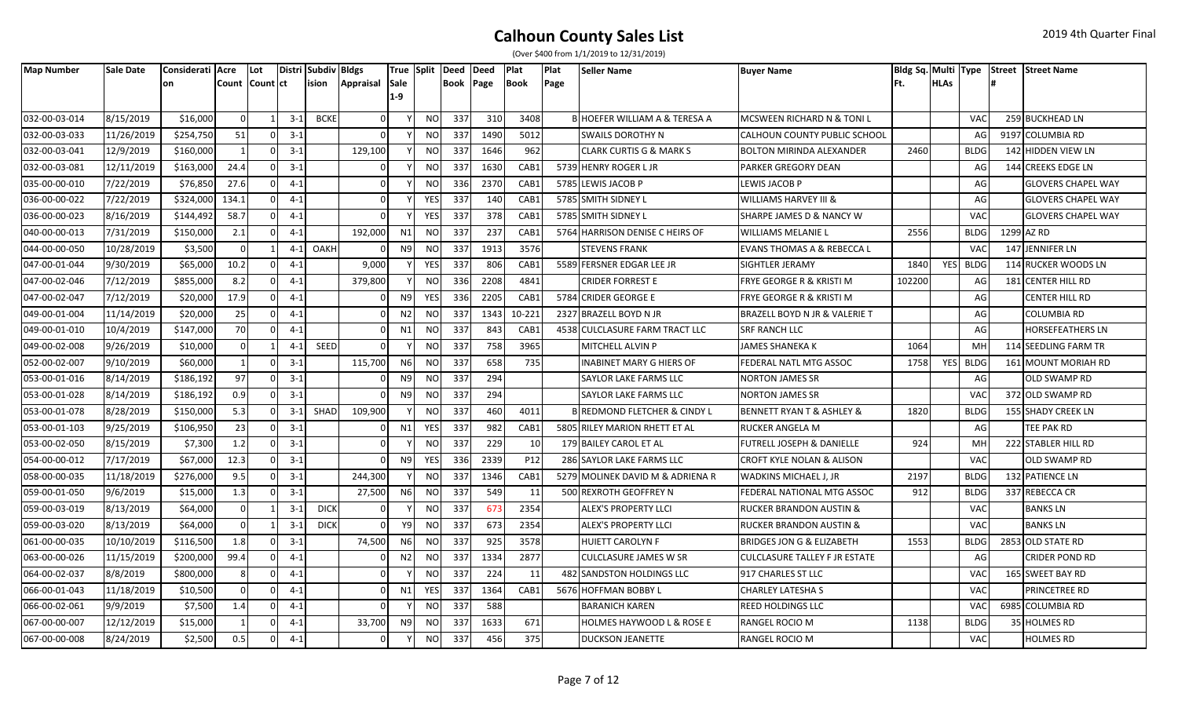| <b>Map Number</b> | <b>Sale Date</b> | Considerati   Acre |                | Lot          |         | Distri Subdiv Bldgs |           |                | True Split Deed |           | Deed | Plat       | Plat | <b>Seller Name</b>                       | <b>Buyer Name</b>                        |        |             |             | Bldg Sq. Multi Type Street Street Name |
|-------------------|------------------|--------------------|----------------|--------------|---------|---------------------|-----------|----------------|-----------------|-----------|------|------------|------|------------------------------------------|------------------------------------------|--------|-------------|-------------|----------------------------------------|
|                   |                  | lon                | Count Count ct |              |         | lision              | Appraisal | Sale           |                 | Book Page |      | Book       | Page |                                          |                                          |        | <b>HLAs</b> |             |                                        |
|                   |                  |                    |                |              |         |                     |           | $1-9$          |                 |           |      |            |      |                                          |                                          |        |             |             |                                        |
| 032-00-03-014     | 8/15/2019        | \$16,000           | 0              |              | $3 - 1$ | <b>BCKE</b>         |           |                | NO              | 337       | 310  | 3408       |      | <b>B HOEFER WILLIAM A &amp; TERESA A</b> | MCSWEEN RICHARD N & TONI L               |        |             | <b>VAC</b>  | 259 BUCKHEAD LN                        |
| 032-00-03-033     | 11/26/2019       | \$254,750          | 51             |              | $3-1$   |                     | $\Omega$  |                | <b>NO</b>       | 337       | 1490 | 5012       |      | SWAILS DOROTHY N                         | CALHOUN COUNTY PUBLIC SCHOOL             |        |             | AG          | 9197 COLUMBIA RD                       |
| 032-00-03-041     | 12/9/2019        | \$160,000          | 1              |              | $3 - 1$ |                     | 129,100   |                | <b>NO</b>       | 337       | 1646 | 962        |      | CLARK CURTIS G & MARK S                  | BOLTON MIRINDA ALEXANDER                 | 2460   |             | <b>BLDG</b> | 142 HIDDEN VIEW LN                     |
| 032-00-03-081     | 12/11/2019       | \$163,000          | 24.4           |              | $3-1$   |                     |           |                | <b>NO</b>       | 337       | 1630 | CAB1       |      | 5739 HENRY ROGER L JR                    | PARKER GREGORY DEAN                      |        |             | AG          | 144 CREEKS EDGE LN                     |
| 035-00-00-010     | 7/22/2019        | \$76,850           | 27.6           |              | $4 - 1$ |                     |           |                | N <sub>O</sub>  | 336       | 2370 | CAB:       |      | 5785 LEWIS JACOB P                       | LEWIS JACOB P                            |        |             | AG          | <b>GLOVERS CHAPEL WAY</b>              |
| 036-00-00-022     | 7/22/2019        | \$324,000          | 134.1          | $\Omega$     | $4 - 1$ |                     |           |                | <b>YES</b>      | 337       | 140  | CAB:       |      | 5785 SMITH SIDNEY L                      | WILLIAMS HARVEY III &                    |        |             | AG          | <b>GLOVERS CHAPEL WAY</b>              |
| 036-00-00-023     | 8/16/2019        | \$144,492          | 58.7           |              | $4 - 1$ |                     |           |                | YES             | 337       | 378  | CAB:       |      | 5785 SMITH SIDNEY L                      | SHARPE JAMES D & NANCY W                 |        |             | VAC         | <b>GLOVERS CHAPEL WAY</b>              |
| 040-00-00-013     | 7/31/2019        | \$150,000          | 2.1            |              | $4 - 1$ |                     | 192,000   | N1             | <b>NO</b>       | 337       | 237  | CAB:       |      | 5764 HARRISON DENISE C HEIRS OF          | <b>WILLIAMS MELANIE L</b>                | 2556   |             | <b>BLDG</b> | 1299 AZ RD                             |
| 044-00-00-050     | 10/28/2019       | \$3,500            | $\overline{0}$ |              | $4 - 1$ | OAKH                |           | N9             | <b>NO</b>       | 337       | 1913 | 3576       |      | <b>STEVENS FRANK</b>                     | EVANS THOMAS A & REBECCA L               |        |             | <b>VAC</b>  | 147 JENNIFER LN                        |
| 047-00-01-044     | 9/30/2019        | \$65,000           | 10.2           | $\Omega$     | $4 - 1$ |                     | 9,000     |                | YES             | 337       | 806  | CAB1       |      | 5589 FERSNER EDGAR LEE JR                | SIGHTLER JERAMY                          | 1840   | YES         | <b>BLDG</b> | 114 RUCKER WOODS LN                    |
| 047-00-02-046     | 7/12/2019        | \$855,000          | 8.2            | $\Omega$     | $4 - 1$ |                     | 379,800   |                | <b>NO</b>       | 336       | 2208 | 4841       |      | CRIDER FORREST E                         | FRYE GEORGE R & KRISTI M                 | 102200 |             | AG          | 181 CENTER HILL RD                     |
| 047-00-02-047     | 7/12/2019        | \$20,000           | 17.9           | $\Omega$     | $4 - 1$ |                     |           | N9             | YES             | 336       | 2205 | CAB:       |      | 5784 CRIDER GEORGE E                     | FRYE GEORGE R & KRISTI M                 |        |             | AG          | <b>CENTER HILL RD</b>                  |
| 049-00-01-004     | 11/14/2019       | \$20,000           | 25             | $\Omega$     | $4 - 1$ |                     |           | N2             | NO              | 337       | 1343 | $10 - 222$ |      | 2327 BRAZELL BOYD N JR                   | BRAZELL BOYD N JR & VALERIE T            |        |             | AG          | <b>COLUMBIA RD</b>                     |
| 049-00-01-010     | 10/4/2019        | \$147,000          | 70             |              | $4 - 1$ |                     |           | N1             | NO              | 337       | 843  | CAB1       |      | 4538 CULCLASURE FARM TRACT LLC           | <b>SRF RANCH LLC</b>                     |        |             | AG          | <b>HORSEFEATHERS LN</b>                |
| 049-00-02-008     | 9/26/2019        | \$10,000           | $\Omega$       |              | $4 - 1$ | <b>SEED</b>         |           |                | NO.             | 337       | 758  | 3965       |      | MITCHELL ALVIN P                         | JAMES SHANEKA K                          | 1064   |             | MH          | 114 SEEDLING FARM TR                   |
| 052-00-02-007     | 9/10/2019        | \$60,000           | 1              |              | $3 - 1$ |                     | 115,700   | N <sub>6</sub> | NO              | 337       | 658  | 735        |      | <b>INABINET MARY G HIERS OF</b>          | FEDERAL NATL MTG ASSOC                   | 1758   | <b>YES</b>  | <b>BLDG</b> | 161 MOUNT MORIAH RD                    |
| 053-00-01-016     | 8/14/2019        | \$186,192          | 97             |              | $3 - 1$ |                     |           | N9             | <b>NO</b>       | 337       | 294  |            |      | SAYLOR LAKE FARMS LLC                    | <b>NORTON JAMES SR</b>                   |        |             | AG          | <b>OLD SWAMP RD</b>                    |
| 053-00-01-028     | 8/14/2019        | \$186,192          | 0.9            |              | $3 - 1$ |                     |           | N <sub>9</sub> | <b>NO</b>       | 337       | 294  |            |      | SAYLOR LAKE FARMS LLC                    | <b>NORTON JAMES SR</b>                   |        |             | <b>VAC</b>  | 372 OLD SWAMP RD                       |
| 053-00-01-078     | 8/28/2019        | \$150,000          | 5.3            |              | $3 - 1$ | SHAD                | 109,900   |                | <b>NO</b>       | 337       | 460  | 4011       |      | <b>B REDMOND FLETCHER &amp; CINDY L</b>  | <b>BENNETT RYAN T &amp; ASHLEY &amp;</b> | 1820   |             | <b>BLDG</b> | <b>155 SHADY CREEK LN</b>              |
| 053-00-01-103     | 9/25/2019        | \$106,950          | 23             |              | $3 - 1$ |                     |           | N1             | <b>YES</b>      | 337       | 982  | CAB1       |      | 5805 RILEY MARION RHETT ET AL            | RUCKER ANGELA M                          |        |             | AG          | TEE PAK RD                             |
| 053-00-02-050     | 8/15/2019        | \$7,300            | 1.2            |              | $3 - 1$ |                     |           |                | N <sub>O</sub>  | 337       | 229  | 10         |      | 179 BAILEY CAROL ET AL                   | FUTRELL JOSEPH & DANIELLE                | 924    |             | MH          | 222 STABLER HILL RD                    |
| 054-00-00-012     | 7/17/2019        | \$67,000           | 12.3           |              | $3 - 1$ |                     |           | N9             | YES             | 336       | 2339 | P12        |      | 286 SAYLOR LAKE FARMS LLC                | CROFT KYLE NOLAN & ALISON                |        |             | <b>VAC</b>  | <b>OLD SWAMP RD</b>                    |
| 058-00-00-035     | 11/18/2019       | \$276,000          | 9.5            |              | $3 - 1$ |                     | 244,300   |                | <b>NO</b>       | 337       | 1346 | CAB1       |      | 5279 MOLINEK DAVID M & ADRIENA R         | WADKINS MICHAEL J, JR                    | 2197   |             | <b>BLDG</b> | 132 PATIENCE LN                        |
| 059-00-01-050     | 9/6/2019         | \$15,000           | 1.3            | $\Omega$     | $3 - 1$ |                     | 27,500    | N <sub>6</sub> | NO              | 337       | 549  | 11         |      | 500 REXROTH GEOFFREY N                   | FEDERAL NATIONAL MTG ASSOC               | 912    |             | <b>BLDG</b> | 337 REBECCA CR                         |
| 059-00-03-019     | 8/13/2019        | \$64,000           | $\overline{0}$ |              | $3 - 1$ | <b>DICK</b>         |           |                | <b>NO</b>       | 337       | 673  | 2354       |      | ALEX'S PROPERTY LLCI                     | <b>RUCKER BRANDON AUSTIN &amp;</b>       |        |             | <b>VAC</b>  | <b>BANKS LN</b>                        |
| 059-00-03-020     | 8/13/2019        | \$64,000           | $\overline{0}$ |              | $3-1$   | <b>DICK</b>         |           | Y9l            | NO.             | 337       | 673  | 2354       |      | ALEX'S PROPERTY LLCI                     | RUCKER BRANDON AUSTIN &                  |        |             | <b>VAC</b>  | <b>BANKS LN</b>                        |
| 061-00-00-035     | 10/10/2019       | \$116,500          | 1.8            |              | $3 - 1$ |                     | 74,500    | N6             | NO.             | 337       | 925  | 3578       |      | HUIETT CAROLYN F                         | <b>BRIDGES JON G &amp; ELIZABETH</b>     | 1553   |             | <b>BLDG</b> | 2853 OLD STATE RD                      |
| 063-00-00-026     | 11/15/2019       | \$200,000          | 99.4           |              | $4 - 1$ |                     |           | N2             | NO              | 337       | 1334 | 2877       |      | CULCLASURE JAMES W SR                    | <b>CULCLASURE TALLEY F JR ESTATE</b>     |        |             | AG          | <b>CRIDER POND RD</b>                  |
| 064-00-02-037     | 8/8/2019         | \$800,000          | 8              |              | $4 - 1$ |                     |           |                | <b>NO</b>       | 337       | 224  | 11         |      | 482 SANDSTON HOLDINGS LLC                | 917 CHARLES ST LLC                       |        |             | <b>VAC</b>  | 165 SWEET BAY RD                       |
| 066-00-01-043     | 11/18/2019       | \$10,500           | $\Omega$       |              | $4 - 1$ |                     |           | N1             | YES             | 337       | 1364 | CAB:       |      | 5676 HOFFMAN BOBBY L                     | <b>CHARLEY LATESHAS</b>                  |        |             | <b>VAC</b>  | PRINCETREE RD                          |
| 066-00-02-061     | 9/9/2019         | \$7,500            | 1.4            |              | $4 - 1$ |                     |           |                | <b>NO</b>       | 337       | 588  |            |      | BARANICH KAREN                           | REED HOLDINGS LLC                        |        |             | <b>VAC</b>  | 6985 COLUMBIA RD                       |
| 067-00-00-007     | 12/12/2019       | \$15,000           | $\mathbf{1}$   | <sup>0</sup> | $4 - 1$ |                     | 33,700    | N9             | <b>NO</b>       | 337       | 1633 | 671        |      | HOLMES HAYWOOD L & ROSE E                | RANGEL ROCIO M                           | 1138   |             | <b>BLDG</b> | 35 HOLMES RD                           |
| 067-00-00-008     | 8/24/2019        | \$2,500            | 0.5            |              | $4 - 1$ |                     |           |                | NO              | 337       | 456  | 375        |      | DUCKSON JEANETTE                         | RANGEL ROCIO M                           |        |             | VAC         | <b>HOLMES RD</b>                       |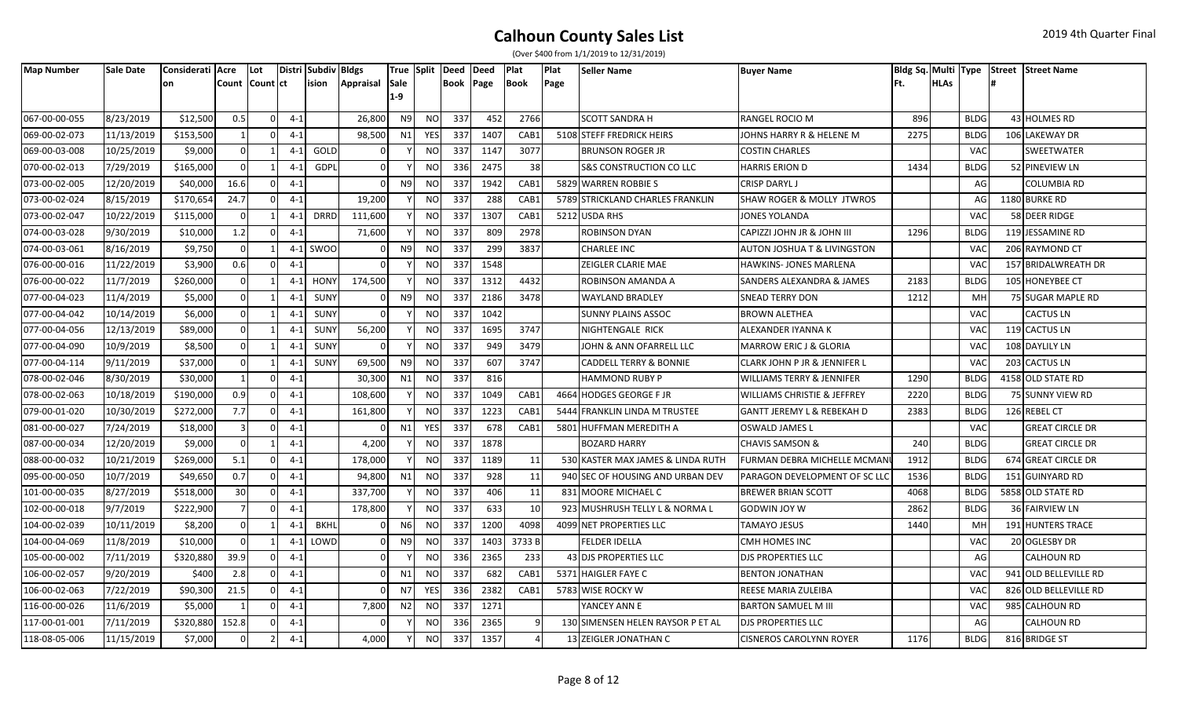| <b>Map Number</b> | <b>Sale Date</b> | Considerati   Acre |                         | Lot          |         | Distri Subdiv Bldgs |           |                |            | True Split Deed Deed |      | Plat  | Plat        | <b>Seller Name</b>                | <b>Buyer Name</b>                    |      |             |             | Bldg Sq. Multi Type Street Street Name |
|-------------------|------------------|--------------------|-------------------------|--------------|---------|---------------------|-----------|----------------|------------|----------------------|------|-------|-------------|-----------------------------------|--------------------------------------|------|-------------|-------------|----------------------------------------|
|                   |                  | on                 | Count Count ct          |              |         | lision              | Appraisal | Sale           |            | <b>Book Page</b>     |      | Book  | <b>Page</b> |                                   |                                      | Ft.  | <b>HLAs</b> |             |                                        |
|                   |                  |                    |                         |              |         |                     |           | $1-9$          |            |                      |      |       |             |                                   |                                      |      |             |             |                                        |
| 067-00-00-055     | 8/23/2019        | \$12,500           | 0.5                     | <sup>0</sup> | $4 - 1$ |                     | 26,800    | N <sub>9</sub> | NO.        | 337                  | 452  | 2766  |             | <b>SCOTT SANDRA H</b>             | RANGEL ROCIO M                       | 896  |             | <b>BLDG</b> | 43 HOLMES RD                           |
| 069-00-02-073     | 11/13/2019       | \$153,500          | $\mathbf{1}$            |              | $4 - 1$ |                     | 98,500    | N1             | <b>YES</b> | 337                  | 1407 | CAB1  |             | 5108 STEFF FREDRICK HEIRS         | JOHNS HARRY R & HELENE M             | 2275 |             | <b>BLDG</b> | 106 LAKEWAY DR                         |
| 069-00-03-008     | 10/25/2019       | \$9,000            | $\Omega$                |              | $4 - 1$ | GOLD                |           |                | <b>NO</b>  | 337                  | 1147 | 3077  |             | BRUNSON ROGER JR                  | <b>COSTIN CHARLES</b>                |      |             | <b>VAC</b>  | SWEETWATER                             |
| 070-00-02-013     | 7/29/2019        | \$165,000          | $\Omega$                |              | $4 - 1$ | <b>GDPL</b>         |           |                | <b>NO</b>  | 336                  | 2475 | 38    |             | S&S CONSTRUCTION CO LLC           | <b>HARRIS ERION D</b>                | 1434 |             | <b>BLDG</b> | 52 PINEVIEW LN                         |
| 073-00-02-005     | 12/20/2019       | \$40,000           | 16.6                    |              | $4 - 1$ |                     |           | N <sub>9</sub> | NO.        | 337                  | 1942 | CAB1  |             | 5829 WARREN ROBBIE S              | CRISP DARYL J                        |      |             | AG          | COLUMBIA RD                            |
| 073-00-02-024     | 8/15/2019        | \$170,654          | 24.7                    |              | $4 - 1$ |                     | 19,200    |                | <b>NO</b>  | 337                  | 288  | CAB1  |             | 5789 STRICKLAND CHARLES FRANKLIN  | <b>SHAW ROGER &amp; MOLLY JTWROS</b> |      |             | AG          | 1180 BURKE RD                          |
| 073-00-02-047     | 10/22/2019       | \$115,000          | $\overline{0}$          |              | $4 - 1$ | <b>DRRD</b>         | 111,600   |                | <b>NO</b>  | 337                  | 1307 | CAB1  |             | 5212 USDA RHS                     | JONES YOLANDA                        |      |             | VAC         | 58 DEER RIDGE                          |
| 074-00-03-028     | 9/30/2019        | \$10,000           | 1.2                     |              | $4 - 1$ |                     | 71,600    |                | <b>NO</b>  | 337                  | 809  | 2978  |             | ROBINSON DYAN                     | CAPIZZI JOHN JR & JOHN III           | 1296 |             | <b>BLDG</b> | 119 JESSAMINE RD                       |
| 074-00-03-061     | 8/16/2019        | \$9,750            | $\overline{0}$          |              |         | 4-1 SWOO            |           | N <sub>9</sub> | NO         | 337                  | 299  | 3837  |             | CHARLEE INC                       | AUTON JOSHUA T & LIVINGSTON          |      |             | VAC         | 206 RAYMOND CT                         |
| 076-00-00-016     | 11/22/2019       | \$3,900            | 0.6                     |              | $4 - 1$ |                     |           |                | NO         | 337                  | 1548 |       |             | ZEIGLER CLARIE MAE                | HAWKINS- JONES MARLENA               |      |             | <b>VAC</b>  | 157 BRIDALWREATH DR                    |
| 076-00-00-022     | 11/7/2019        | \$260,000          | $\Omega$                |              | $4 - 1$ | <b>HONY</b>         | 174,500   |                | <b>NO</b>  | 337                  | 1312 | 4432  |             | ROBINSON AMANDA A                 | SANDERS ALEXANDRA & JAMES            | 2183 |             | <b>BLDG</b> | 105 HONEYBEE CT                        |
| 077-00-04-023     | 11/4/2019        | \$5,000            | $\overline{0}$          |              | $4 - 1$ | SUNY                |           | N <sub>9</sub> | <b>NO</b>  | 337                  | 2186 | 3478  |             | <b>WAYLAND BRADLEY</b>            | <b>SNEAD TERRY DON</b>               | 1212 |             | MH          | 75 SUGAR MAPLE RD                      |
| 077-00-04-042     | 10/14/2019       | \$6,000            | $\Omega$                |              | $4 - 1$ | SUNY                |           |                | NO.        | 337                  | 1042 |       |             | <b>SUNNY PLAINS ASSOC</b>         | <b>BROWN ALETHEA</b>                 |      |             | VAC         | <b>CACTUS LN</b>                       |
| 077-00-04-056     | 12/13/2019       | \$89,000           | $\Omega$                |              | $4 - 1$ | <b>SUNY</b>         | 56,200    |                | <b>NO</b>  | 337                  | 1695 | 3747  |             | NIGHTENGALE RICK                  | ALEXANDER IYANNA K                   |      |             | VAC         | 119 CACTUS LN                          |
| 077-00-04-090     | 10/9/2019        | \$8,500            | $\Omega$                |              | $4 - 1$ | <b>SUNY</b>         |           |                | <b>NO</b>  | 337                  | 949  | 3479  |             | JOHN & ANN OFARRELL LLC           | <b>MARROW ERICJ &amp; GLORIA</b>     |      |             | VAC         | 108 DAYLILY LN                         |
| 077-00-04-114     | 9/11/2019        | \$37,000           | 0                       |              | $4 - 1$ | SUNY                | 69,500    | N <sub>9</sub> | <b>NO</b>  | 337                  | 607  | 3747  |             | CADDELL TERRY & BONNIE            | CLARK JOHN P JR & JENNIFER L         |      |             | <b>VAC</b>  | 203 CACTUS LN                          |
| 078-00-02-046     | 8/30/2019        | \$30,000           |                         |              | $4 - 1$ |                     | 30,300    | N1             | <b>NO</b>  | 337                  | 816  |       |             | HAMMOND RUBY P                    | WILLIAMS TERRY & JENNIFER            | 1290 |             | <b>BLDG</b> | 4158 OLD STATE RD                      |
| 078-00-02-063     | 10/18/2019       | \$190,000          | 0.9                     |              | $4 - 1$ |                     | 108,600   |                | <b>NO</b>  | 337                  | 1049 | CAB1  |             | 4664 HODGES GEORGE F JR           | WILLIAMS CHRISTIE & JEFFREY          | 2220 |             | <b>BLDG</b> | 75 SUNNY VIEW RD                       |
| 079-00-01-020     | 10/30/2019       | \$272,000          | 7.7                     | <sup>0</sup> | $4 - 1$ |                     | 161,800   |                | <b>NO</b>  | 337                  | 1223 | CAB1  |             | 5444 FRANKLIN LINDA M TRUSTEE     | GANTT JEREMY L & REBEKAH D           | 2383 |             | <b>BLDG</b> | 126 REBEL CT                           |
| 081-00-00-027     | 7/24/2019        | \$18,000           | $\overline{\mathbf{3}}$ |              | $4 - 1$ |                     |           | N1             | <b>YES</b> | 337                  | 678  | CAB1  |             | 5801 HUFFMAN MEREDITH A           | <b>OSWALD JAMES L</b>                |      |             | <b>VAC</b>  | <b>GREAT CIRCLE DR</b>                 |
| 087-00-00-034     | 12/20/2019       | \$9,000            | $\Omega$                |              | $4 - 1$ |                     | 4,200     |                | <b>NO</b>  | 337                  | 1878 |       |             | <b>BOZARD HARRY</b>               | <b>CHAVIS SAMSON &amp;</b>           | 240  |             | <b>BLDG</b> | <b>GREAT CIRCLE DR</b>                 |
| 088-00-00-032     | 10/21/2019       | \$269,000          | 5.1                     | <sup>0</sup> | $4 - 1$ |                     | 178,000   |                | <b>NO</b>  | 337                  | 1189 | 11    |             | 530 KASTER MAX JAMES & LINDA RUTH | FURMAN DEBRA MICHELLE MCMAN          | 1912 |             | <b>BLDG</b> | 674 GREAT CIRCLE DR                    |
| 095-00-00-050     | 10/7/2019        | \$49,650           | 0.7                     |              | $4 - 1$ |                     | 94,800    | N1             | <b>NO</b>  | 337                  | 928  | 11    |             | 940 SEC OF HOUSING AND URBAN DEV  | PARAGON DEVELOPMENT OF SC LLC        | 1536 |             | <b>BLDG</b> | 151 GUINYARD RD                        |
| 101-00-00-035     | 8/27/2019        | \$518,000          | 30 <sup>1</sup>         |              | $4 - 1$ |                     | 337,700   |                | NO         | 337                  | 406  | 11    |             | 831 MOORE MICHAEL C               | <b>BREWER BRIAN SCOTT</b>            | 4068 |             | <b>BLDG</b> | 5858 OLD STATE RD                      |
| 102-00-00-018     | 9/7/2019         | \$222,900          | $\overline{7}$          |              | $4 - 1$ |                     | 178,800   |                | <b>NO</b>  | 337                  | 633  | 10    |             | 923 MUSHRUSH TELLY L & NORMA L    | <b>GODWIN JOY W</b>                  | 2862 |             | <b>BLDG</b> | 36 FAIRVIEW LN                         |
| 104-00-02-039     | 10/11/2019       | \$8,200            | 0                       |              | $4 - 1$ | <b>BKHL</b>         |           | <b>N6</b>      | <b>NO</b>  | 337                  | 1200 | 4098  |             | 4099 NET PROPERTIES LLC           | TAMAYO JESUS                         | 1440 |             | MН          | 191 HUNTERS TRACE                      |
| 104-00-04-069     | 11/8/2019        | \$10,000           | $\Omega$                |              | $4 - 1$ | LOWD                |           | N <sub>9</sub> | <b>NO</b>  | 337                  | 1403 | 3733B |             | FELDER IDELLA                     | CMH HOMES INC                        |      |             | VAC         | 20 OGLESBY DR                          |
| 105-00-00-002     | 7/11/2019        | \$320,880          | 39.9                    |              | $4 - 1$ |                     |           |                | <b>NO</b>  | 336                  | 2365 | 233   |             | 43 DJS PROPERTIES LLC             | <b>DJS PROPERTIES LLC</b>            |      |             | AG          | CALHOUN RD                             |
| 106-00-02-057     | 9/20/2019        | \$400              | 2.8                     |              | $4 - 1$ |                     |           | N1             | NO.        | 337                  | 682  | CAB1  |             | 5371 HAIGLER FAYE C               | <b>BENTON JONATHAN</b>               |      |             | VAC         | 941 OLD BELLEVILLE RD                  |
| 106-00-02-063     | 7/22/2019        | \$90,300           | 21.5                    |              | $4 - 1$ |                     |           | N7             | <b>YES</b> | 336                  | 2382 | CAB1  |             | 5783 WISE ROCKY W                 | REESE MARIA ZULEIBA                  |      |             | VAC         | 826 OLD BELLEVILLE RD                  |
| 116-00-00-026     | 11/6/2019        | \$5,000            | 1                       |              | $4 - 1$ |                     | 7,800     | N <sub>2</sub> | <b>NO</b>  | 337                  | 1271 |       |             | YANCEY ANN E                      | <b>BARTON SAMUEL M III</b>           |      |             | VAC         | 985 CALHOUN RD                         |
| 117-00-01-001     | 7/11/2019        | \$320,880          | 152.8                   |              | $4 - 1$ |                     |           |                | <b>NO</b>  | 336                  | 2365 |       |             | 130 SIMENSEN HELEN RAYSOR P ET AL | <b>DJS PROPERTIES LLC</b>            |      |             | AG          | CALHOUN RD                             |
| 118-08-05-006     | 11/15/2019       | \$7,000            | $\Omega$                |              | $4 - 1$ |                     | 4,000     |                | <b>NO</b>  | 337                  | 1357 |       |             | 13 ZEIGLER JONATHAN C             | <b>CISNEROS CAROLYNN ROYER</b>       | 1176 |             | <b>BLDG</b> | 816 BRIDGE ST                          |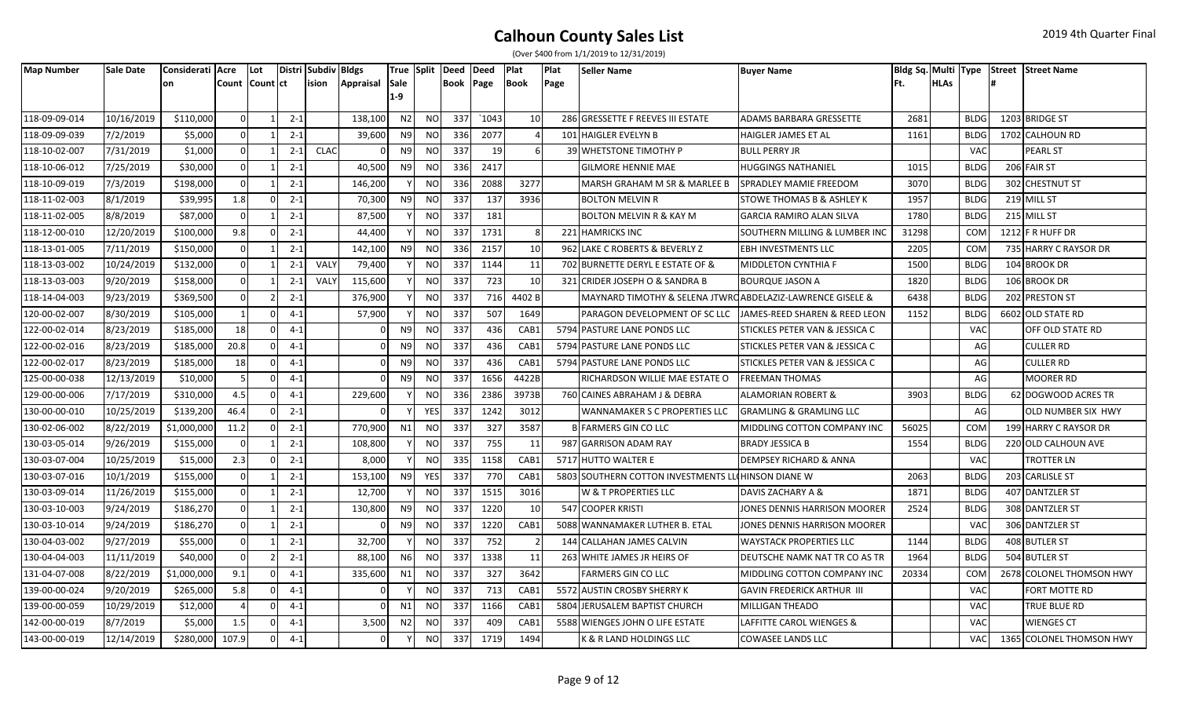| (Over \$400 from 1/1/2019 to 12/31/2019) |  |
|------------------------------------------|--|
|------------------------------------------|--|

| <b>Map Number</b> | Sale Date  | Considerati Acre |          | Lot            |         | Distri Subdiv Bldgs |                 |                |                | True Split Deed Deed |       | Plat  | <b>Plat</b> | <b>Seller Name</b>                                        | <b>Buyer Name</b>                  |       |             |             | Bldg Sq. Multi Type Street Street Name |
|-------------------|------------|------------------|----------|----------------|---------|---------------------|-----------------|----------------|----------------|----------------------|-------|-------|-------------|-----------------------------------------------------------|------------------------------------|-------|-------------|-------------|----------------------------------------|
|                   |            |                  |          | Count Count ct |         |                     | ision Appraisal | <b>Sale</b>    |                | <b>Book Page</b>     |       | Book  | Page        |                                                           |                                    |       | <b>HLAs</b> |             |                                        |
|                   |            |                  |          |                |         |                     |                 | 1-9            |                |                      |       |       |             |                                                           |                                    |       |             |             |                                        |
| 118-09-09-014     | 10/16/2019 | \$110,000        |          |                | $2 - 1$ |                     | 138,100         | N <sub>2</sub> | <b>NO</b>      | 337                  | `1043 | 10    |             | 286 GRESSETTE F REEVES III ESTATE                         | ADAMS BARBARA GRESSETTE            | 2681  |             | <b>BLDG</b> | 1203 BRIDGE ST                         |
| 118-09-09-039     | 7/2/2019   | \$5,000          |          |                | $2 - 1$ |                     | 39,600          | N <sub>9</sub> | <b>NO</b>      | 336                  | 2077  |       |             | 101 HAIGLER EVELYN B                                      | HAIGLER JAMES ET AL                | 1161  |             | <b>BLDG</b> | 1702 CALHOUN RD                        |
| 118-10-02-007     | 7/31/2019  | \$1,000          |          |                | $2 - 1$ | <b>CLAC</b>         |                 | N <sub>9</sub> | <b>NO</b>      | 337                  | 19    |       |             | 39 WHETSTONE TIMOTHY P                                    | <b>BULL PERRY JR</b>               |       |             | <b>VAC</b>  | PEARL ST                               |
| 118-10-06-012     | 7/25/2019  | \$30,000         |          |                | $2 - 1$ |                     | 40,500          | N <sub>9</sub> | <b>NO</b>      | 336                  | 2417  |       |             | <b>GILMORE HENNIE MAE</b>                                 | HUGGINGS NATHANIEL                 | 101   |             | <b>BLDG</b> | 206 FAIR ST                            |
| 118-10-09-019     | 7/3/2019   | \$198,000        | $\Omega$ |                | $2 - 1$ |                     | 146,200         |                | NO             | 336                  | 2088  | 3277  |             | MARSH GRAHAM M SR & MARLEE B                              | SPRADLEY MAMIE FREEDOM             | 3070  |             | <b>BLDG</b> | 302 CHESTNUT ST                        |
| 118-11-02-003     | 8/1/2019   | \$39,995         | 1.8      |                | $2 - 1$ |                     | 70,300          | N <sub>9</sub> | <b>NO</b>      | 337                  | 137   | 3936  |             | <b>BOLTON MELVIN R</b>                                    | STOWE THOMAS B & ASHLEY K          | 1957  |             | <b>BLDG</b> | 219 MILL ST                            |
| 118-11-02-005     | 8/8/2019   | \$87,000         | $\Omega$ |                | $2 - 1$ |                     | 87,500          |                | <b>NO</b>      | 337                  | 181   |       |             | <b>BOLTON MELVIN R &amp; KAY M</b>                        | <b>GARCIA RAMIRO ALAN SILVA</b>    | 1780  |             | <b>BLDG</b> | 215 MILL ST                            |
| 118-12-00-010     | 12/20/2019 | \$100,000        | 9.8      |                | $2 - 1$ |                     | 44,400          |                | N <sub>O</sub> | 337                  | 1731  |       |             | 221 HAMRICKS INC                                          | SOUTHERN MILLING & LUMBER INC      | 31298 |             | COM         | 1212 F R HUFF DR                       |
| 118-13-01-005     | 7/11/2019  | \$150,000        | $\Omega$ |                | $2 - 1$ |                     | 142,100         | N <sub>9</sub> | <b>NO</b>      | 336                  | 2157  | 10    |             | 962 LAKE C ROBERTS & BEVERLY Z                            | <b>EBH INVESTMENTS LLC</b>         | 2205  |             | COM         | 735 HARRY C RAYSOR DR                  |
| 118-13-03-002     | 10/24/2019 | \$132,000        | $\Omega$ |                | $2 - 1$ | VALY                | 79,400          |                | <sub>NO</sub>  | 337                  | 1144  | 11    |             | 702 BURNETTE DERYL E ESTATE OF &                          | MIDDLETON CYNTHIA F                | 1500  |             | <b>BLDG</b> | 104 BROOK DR                           |
| 118-13-03-003     | 9/20/2019  | \$158,000        | $\Omega$ |                | $2 - 1$ | VALY                | 115,600         |                | NO             | 337                  | 723   | 10    |             | 321 CRIDER JOSEPH O & SANDRA B                            | <b>BOURQUE JASON A</b>             | 1820  |             | <b>BLDG</b> | 106 BROOK DR                           |
| 118-14-04-003     | 9/23/2019  | \$369,500        | $\cap$   |                | $2 - 1$ |                     | 376,900         |                | <b>NO</b>      | 337                  | 716   | 4402B |             | MAYNARD TIMOTHY & SELENA JTWROABDELAZIZ-LAWRENCE GISELE & |                                    | 6438  |             | <b>BLDG</b> | 202 PRESTON ST                         |
| 120-00-02-007     | 8/30/2019  | \$105,000        |          |                | $4 - 1$ |                     | 57,900          |                | <b>NO</b>      | 337                  | 507   | 1649  |             | PARAGON DEVELOPMENT OF SC LLC                             | JAMES-REED SHAREN & REED LEON      | 1152  |             | <b>BLDG</b> | 6602 OLD STATE RD                      |
| 122-00-02-014     | 8/23/2019  | \$185,000        | 18       |                | $4 - 1$ |                     |                 | N <sub>9</sub> | NO             | 337                  | 436   | CAB1  |             | 5794 PASTURE LANE PONDS LLC                               | STICKLES PETER VAN & JESSICA C     |       |             | VAC         | OFF OLD STATE RD                       |
| 122-00-02-016     | 8/23/2019  | \$185,000        | 20.8     |                | $4 - 1$ |                     |                 | N <sub>9</sub> | <b>NO</b>      | 337                  | 436   | CAB1  |             | 5794 PASTURE LANE PONDS LLC                               | STICKLES PETER VAN & JESSICA C     |       |             | AG          | <b>CULLER RD</b>                       |
| 122-00-02-017     | 8/23/2019  | \$185,000        | 18       |                | $4 - 1$ |                     |                 | N <sub>9</sub> | <b>NO</b>      | 337                  | 436   | CAB1  |             | 5794 PASTURE LANE PONDS LLC                               | STICKLES PETER VAN & JESSICA C     |       |             | AG          | CULLER RD                              |
| 125-00-00-038     | 12/13/2019 | \$10,000         |          |                | $4 - 1$ |                     |                 | N <sub>9</sub> | <b>NO</b>      | 337                  | 1656  | 4422B |             | RICHARDSON WILLIE MAE ESTATE O                            | <b>FREEMAN THOMAS</b>              |       |             | AG          | <b>MOORER RD</b>                       |
| 129-00-00-006     | 7/17/2019  | \$310,000        | 4.5      |                | $4 - 1$ |                     | 229,600         |                | <b>NO</b>      | 336                  | 2386  | 3973B |             | 760 CAINES ABRAHAM J & DEBRA                              | <b>ALAMORIAN ROBERT &amp;</b>      | 3903  |             | <b>BLDG</b> | 62 DOGWOOD ACRES TR                    |
| 130-00-00-010     | 10/25/2019 | \$139,200        | 46.4     |                | $2 - 1$ |                     |                 |                | YES            | 337                  | 1242  | 3012  |             | WANNAMAKER S C PROPERTIES LLC                             | <b>GRAMLING &amp; GRAMLING LLC</b> |       |             | AG          | OLD NUMBER SIX HWY                     |
| 130-02-06-002     | 8/22/2019  | \$1,000,000      | 11.2     |                | $2 - 1$ |                     | 770,900         | N1             | <b>NO</b>      | 337                  | 327   | 3587  |             | <b>B FARMERS GIN CO LLC</b>                               | MIDDLING COTTON COMPANY INC        | 56025 |             | COM         | 199 HARRY C RAYSOR DR                  |
| 130-03-05-014     | 9/26/2019  | \$155,000        | $\Omega$ |                | $2 - 1$ |                     | 108,800         |                | NO             | 337                  | 755   | 11    |             | 987 GARRISON ADAM RAY                                     | <b>BRADY JESSICA B</b>             | 1554  |             | <b>BLDG</b> | 220 OLD CALHOUN AVE                    |
| 130-03-07-004     | 10/25/2019 | \$15,000         | 2.3      |                | $2 - 1$ |                     | 8,000           |                | NO             | 335                  | 1158  | CAB1  |             | 5717 HUTTO WALTER E                                       | <b>DEMPSEY RICHARD &amp; ANNA</b>  |       |             | <b>VAC</b>  | <b>TROTTER LN</b>                      |
| 130-03-07-016     | 10/1/2019  | \$155,000        | $\Omega$ |                | $2 - 1$ |                     | 153,100         | N <sub>9</sub> | YES            | 337                  | 770   | CAB1  |             | 5803 SOUTHERN COTTON INVESTMENTS LL                       | <b>CHINSON DIANE W</b>             | 2063  |             | <b>BLDG</b> | 203 CARLISLE ST                        |
| 130-03-09-014     | 11/26/2019 | \$155,000        | $\Omega$ |                | $2 - 1$ |                     | 12,700          |                | <sub>NO</sub>  | 337                  | 1515  | 3016  |             | <b>W &amp; T PROPERTIES LLC</b>                           | DAVIS ZACHARY A &                  | 1871  |             | <b>BLDG</b> | 407 DANTZLER ST                        |
| 130-03-10-003     | 9/24/2019  | \$186,270        | $\Omega$ |                | $2 - 1$ |                     | 130,800         | N9             | <b>NO</b>      | 337                  | 1220  | 10    |             | 547 COOPER KRISTI                                         | JONES DENNIS HARRISON MOORER       | 2524  |             | <b>BLDG</b> | 308 DANTZLER ST                        |
| 130-03-10-014     | 9/24/2019  | \$186,270        |          |                | $2 - 1$ |                     |                 | N <sub>9</sub> | NO             | 337                  | 1220  | CAB1  |             | 5088 WANNAMAKER LUTHER B. ETAL                            | JONES DENNIS HARRISON MOORER       |       |             | <b>VAC</b>  | 306 DANTZLER ST                        |
| 130-04-03-002     | 9/27/2019  | \$55,000         |          |                | $2 - 1$ |                     | 32,700          |                | <b>NO</b>      | 337                  | 752   |       |             | 144 CALLAHAN JAMES CALVIN                                 | <b>WAYSTACK PROPERTIES LLC</b>     | 1144  |             | <b>BLDG</b> | 408 BUTLER ST                          |
| 130-04-04-003     | 11/11/2019 | \$40,000         | $\cap$   |                | $2 - 1$ |                     | 88,100          | N <sub>6</sub> | <b>NO</b>      | 337                  | 1338  | 11    |             | 263 WHITE JAMES JR HEIRS OF                               | DEUTSCHE NAMK NAT TR CO AS TR      | 1964  |             | <b>BLDG</b> | 504 BUTLER ST                          |
| 131-04-07-008     | 8/22/2019  | \$1,000,000      | 9.1      |                | $4 - 1$ |                     | 335,600         | N1             | <b>NO</b>      | 337                  | 327   | 3642  |             | <b>FARMERS GIN CO LLC</b>                                 | MIDDLING COTTON COMPANY INC        | 20334 |             | <b>COM</b>  | 2678 COLONEL THOMSON HWY               |
| 139-00-00-024     | 9/20/2019  | \$265,000        | 5.8      |                | $4 - 1$ |                     |                 |                | <b>NO</b>      | 337                  | 713   | CAB1  |             | 5572 AUSTIN CROSBY SHERRY K                               | <b>GAVIN FREDERICK ARTHUR III</b>  |       |             | <b>VAC</b>  | FORT MOTTE RD                          |
| 139-00-00-059     | 10/29/2019 | \$12,000         | - 4      |                | $4 - 1$ |                     |                 | N <sub>1</sub> | <b>NO</b>      | 337                  | 1166  | CAB1  |             | 5804 JERUSALEM BAPTIST CHURCH                             | <b>MILLIGAN THEADO</b>             |       |             | <b>VAC</b>  | TRUE BLUE RD                           |
| 142-00-00-019     | 8/7/2019   | \$5,000          | 1.5      |                | $4 - 1$ |                     | 3,500           | N <sub>2</sub> | <b>NO</b>      | 337                  | 409   | CAB1  |             | 5588 WIENGES JOHN O LIFE ESTATE                           | LAFFITTE CAROL WIENGES &           |       |             | <b>VAC</b>  | <b>WIENGES CT</b>                      |
| 143-00-00-019     | 12/14/2019 | \$280,000        | 107.9    |                | $4 - 1$ |                     |                 |                | <b>NO</b>      | 337                  | 1719  | 1494  |             | K & R LAND HOLDINGS LLC                                   | COWASEE LANDS LLC                  |       |             | <b>VAC</b>  | 1365 COLONEL THOMSON HWY               |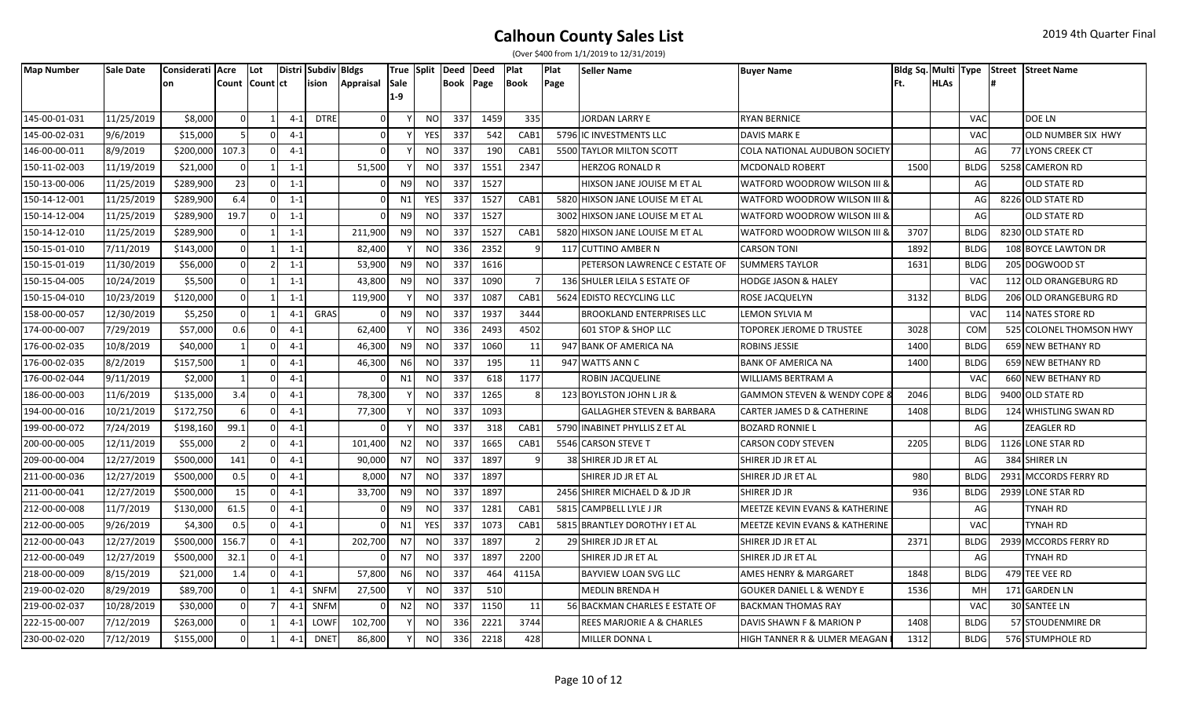| (Over \$400 from 1/1/2019 to 12/31/2019) |  |
|------------------------------------------|--|
|------------------------------------------|--|

| <b>Map Number</b> | Sale Date  | Considerati Acre |                | Lot |         | Distri Subdiv Bldgs |                 |                |               | True Split Deed Deed |      | Plat        | Plat | <b>Seller Name</b>                    | <b>Buyer Name</b>                    |      |             |             | Bldg Sq. Multi Type Street Street Name |
|-------------------|------------|------------------|----------------|-----|---------|---------------------|-----------------|----------------|---------------|----------------------|------|-------------|------|---------------------------------------|--------------------------------------|------|-------------|-------------|----------------------------------------|
|                   |            | lon              | Count Count ct |     |         |                     | ision Appraisal | Sale<br>$1-9$  |               | Book Page            |      | <b>Book</b> | Page |                                       |                                      |      | <b>HLAs</b> |             |                                        |
|                   |            |                  |                |     |         |                     |                 |                |               |                      |      |             |      |                                       |                                      |      |             |             |                                        |
| 145-00-01-031     | 11/25/2019 | \$8,000          | $\Omega$       |     | $4 - 1$ | <b>DTRE</b>         |                 |                | <sub>NO</sub> | 337                  | 1459 | 335         |      | JORDAN LARRY E                        | <b>RYAN BERNICE</b>                  |      |             | <b>VAC</b>  | DOE LN                                 |
| 145-00-02-031     | 9/6/2019   | \$15,000         |                |     | $4 - 1$ |                     |                 |                | <b>YES</b>    | 337                  | 542  | CAB1        |      | 5796 IC INVESTMENTS LLC               | DAVIS MARK E                         |      |             | VAC         | OLD NUMBER SIX HWY                     |
| 146-00-00-011     | 8/9/2019   | \$200,000        | 107.3          |     | $4 - 1$ |                     |                 |                | <b>NO</b>     | 337                  | 190  | CAB1        |      | 5500 TAYLOR MILTON SCOTT              | COLA NATIONAL AUDUBON SOCIETY        |      |             | AG          | 77 LYONS CREEK CT                      |
| 150-11-02-003     | 11/19/2019 | \$21,000         | 0              |     | $1 - 1$ |                     | 51,500          |                | <b>NO</b>     | 337                  | 1551 | 2347        |      | <b>HERZOG RONALD R</b>                | MCDONALD ROBERT                      | 1500 |             | <b>BLDG</b> | 5258 CAMERON RD                        |
| 150-13-00-006     | 11/25/2019 | \$289,900        | 23             |     | $1 - 1$ |                     |                 | N <sub>9</sub> | <b>NO</b>     | 337                  | 1527 |             |      | HIXSON JANE JOUISE M ET AL            | WATFORD WOODROW WILSON III &         |      |             | AG          | OLD STATE RD                           |
| 150-14-12-001     | 11/25/2019 | \$289,900        | 6.4            |     | $1 - 1$ |                     |                 | N1             | <b>YES</b>    | 337                  | 1527 | CAB1        |      | 5820 HIXSON JANE LOUISE M ET AL       | WATFORD WOODROW WILSON III &         |      |             | AG          | 8226 OLD STATE RD                      |
| 150-14-12-004     | 11/25/2019 | \$289,900        | 19.7           |     | $1 - 1$ |                     |                 | N <sub>9</sub> | <b>NO</b>     | 337                  | 1527 |             |      | 3002 HIXSON JANE LOUISE M ET AL       | WATFORD WOODROW WILSON III &         |      |             | AG          | OLD STATE RD                           |
| 150-14-12-010     | 11/25/2019 | \$289,900        | $\Omega$       |     | $1 - 1$ |                     | 211,900         | N <sub>9</sub> | NO            | 337                  | 1527 | CAB1        |      | 5820 HIXSON JANE LOUISE M ET AL       | WATFORD WOODROW WILSON III &         | 3707 |             | <b>BLDG</b> | 8230 OLD STATE RD                      |
| 150-15-01-010     | 7/11/2019  | \$143,000        |                |     | $1 - 1$ |                     | 82,400          |                | <b>NO</b>     | 336                  | 2352 |             |      | 117 CUTTINO AMBER N                   | CARSON TONI                          | 1892 |             | <b>BLDG</b> | 108 BOYCE LAWTON DR                    |
| 150-15-01-019     | 11/30/2019 | \$56,000         | $\Omega$       |     | $1 - 1$ |                     | 53,900          | N <sub>9</sub> | <b>NO</b>     | 337                  | 1616 |             |      | PETERSON LAWRENCE C ESTATE OF         | <b>SUMMERS TAYLOR</b>                | 1631 |             | <b>BLDG</b> | 205 DOGWOOD ST                         |
| 150-15-04-005     | 10/24/2019 | \$5,500          | $\Omega$       |     | $1 - 1$ |                     | 43,800          | N <sub>9</sub> | NO            | 337                  | 1090 |             |      | 136 SHULER LEILA S ESTATE OF          | HODGE JASON & HALEY                  |      |             | <b>VAC</b>  | 112 OLD ORANGEBURG RD                  |
| 150-15-04-010     | 10/23/2019 | \$120,000        | $\Omega$       |     | $1 - 1$ |                     | 119,900         |                | <sub>NO</sub> | 337                  | 1087 | CAB1        |      | 5624 EDISTO RECYCLING LLC             | ROSE JACQUELYN                       | 3132 |             | <b>BLDG</b> | 206 OLD ORANGEBURG RD                  |
| 158-00-00-057     | 12/30/2019 | \$5,250          | $\Omega$       |     | $4 - 1$ | GRAS                |                 | N <sub>9</sub> | <b>NO</b>     | 337                  | 1937 | 3444        |      | <b>BROOKLAND ENTERPRISES LLC</b>      | LEMON SYLVIA M                       |      |             | <b>VAC</b>  | 114 NATES STORE RD                     |
| 174-00-00-007     | 7/29/2019  | \$57,000         | 0.6            |     | $4 - 1$ |                     | 62,400          |                | <sub>NO</sub> | 336                  | 2493 | 4502        |      | 601 STOP & SHOP LLC                   | TOPOREK JEROME D TRUSTEE             | 3028 |             | COM         | 525 COLONEL THOMSON HWY                |
| 176-00-02-035     | 10/8/2019  | \$40,000         |                |     | $4 - 1$ |                     | 46,300          | N9             | <b>NO</b>     | 337                  | 1060 | 11          |      | 947 BANK OF AMERICA NA                | ROBINS JESSIE                        | 1400 |             | <b>BLDG</b> | 659 NEW BETHANY RD                     |
| 176-00-02-035     | 8/2/2019   | \$157,500        |                |     | $4 - 1$ |                     | 46,300          | N <sub>6</sub> | <b>NO</b>     | 337                  | 195  | 11          |      | 947 WATTS ANN C                       | BANK OF AMERICA NA                   | 1400 |             | <b>BLDG</b> | 659 NEW BETHANY RD                     |
| 176-00-02-044     | 9/11/2019  | \$2,000          |                |     | $4 - 1$ |                     |                 | N1             | <b>NO</b>     | 337                  | 618  | 1177        |      | ROBIN JACQUELINE                      | WILLIAMS BERTRAM A                   |      |             | VAC         | 660 NEW BETHANY RD                     |
| 186-00-00-003     | 11/6/2019  | \$135,000        | 3.4            |     | $4 - 1$ |                     | 78,300          |                | <b>NO</b>     | 337                  | 1265 |             |      | 123 BOYLSTON JOHN L JR &              | GAMMON STEVEN & WENDY COPE 8         | 2046 |             | <b>BLDG</b> | 9400 OLD STATE RD                      |
| 194-00-00-016     | 10/21/2019 | \$172,750        |                |     | $4 - 1$ |                     | 77,300          |                | <b>NO</b>     | 337                  | 1093 |             |      | <b>GALLAGHER STEVEN &amp; BARBARA</b> | CARTER JAMES D & CATHERINE           | 1408 |             | <b>BLDG</b> | 124 WHISTLING SWAN RD                  |
| 199-00-00-072     | 7/24/2019  | \$198,160        | 99.1           |     | $4 - 1$ |                     |                 |                | NO.           | 337                  | 318  | CAB1        |      | 5790 INABINET PHYLLIS Z ET AL         | BOZARD RONNIE L                      |      |             | AG          | <b>ZEAGLER RD</b>                      |
| 200-00-00-005     | 12/11/2019 | \$55,000         |                |     | $4 - 1$ |                     | 101,400         | N <sub>2</sub> | NO.           | 337                  | 1665 | CAB1        |      | 5546 CARSON STEVE T                   | <b>CARSON CODY STEVEN</b>            | 2205 |             | <b>BLDG</b> | 1126 LONE STAR RD                      |
| 209-00-00-004     | 12/27/2019 | \$500,000        | 141            |     | $4 - 1$ |                     | 90,000          | N7             | NO            | 337                  | 1897 | q           |      | 38 SHIRER JD JR ET AL                 | SHIRER JD JR ET AL                   |      |             | AG          | 384 SHIRER LN                          |
| 211-00-00-036     | 12/27/2019 | \$500,000        | 0.5            |     | $4 - 1$ |                     | 8,000           | N7             | NO            | 337                  | 1897 |             |      | SHIRER JD JR ET AL                    | SHIRER JD JR ET AL                   | 980  |             | <b>BLDG</b> | 2931 MCCORDS FERRY RD                  |
| 211-00-00-041     | 12/27/2019 | \$500,000        | 15             |     | $4 - 1$ |                     | 33,700          | N9             | NO            | 337                  | 1897 |             |      | 2456 SHIRER MICHAEL D & JD JR         | SHIRER JD JR                         | 936  |             | <b>BLDG</b> | 2939 LONE STAR RD                      |
| 212-00-00-008     | 11/7/2019  | \$130,000        | 61.5           |     | $4 - 1$ |                     |                 | N <sub>9</sub> | <sub>NO</sub> | 337                  | 1281 | CAB1        |      | 5815 CAMPBELL LYLE J JR               | MEETZE KEVIN EVANS & KATHERINE       |      |             | AG          | <b>TYNAH RD</b>                        |
| 212-00-00-005     | 9/26/2019  | \$4,300          | 0.5            |     | $4 - 1$ |                     |                 | N1             | <b>YES</b>    | 337                  | 1073 | CAB1        |      | 5815 BRANTLEY DOROTHY I ET AL         | MEETZE KEVIN EVANS & KATHERINE       |      |             | <b>VAC</b>  | TYNAH RD                               |
| 212-00-00-043     | 12/27/2019 | \$500,000        | 156.7          |     | $4 - 1$ |                     | 202,700         | N7             | <b>NO</b>     | 337                  | 1897 |             |      | 29 SHIRER JD JR ET AL                 | SHIRER JD JR ET AL                   | 2371 |             | <b>BLDG</b> | 2939 MCCORDS FERRY RD                  |
| 212-00-00-049     | 12/27/2019 | \$500,000        | 32.1           |     | $4 - 1$ |                     |                 | N7             | <b>NO</b>     | 337                  | 1897 | 2200        |      | SHIRER JD JR ET AL                    | SHIRER JD JR ET AL                   |      |             | AG          | <b>TYNAH RD</b>                        |
| 218-00-00-009     | 8/15/2019  | \$21,000         | 1.4            |     | $4 - 1$ |                     | 57,800          | N <sub>6</sub> | <b>NO</b>     | 337                  | 464  | 4115A       |      | BAYVIEW LOAN SVG LLC                  | AMES HENRY & MARGARET                | 1848 |             | <b>BLDG</b> | 479 TEE VEE RD                         |
| 219-00-02-020     | 8/29/2019  | \$89,700         | $\Omega$       |     | $4 - 1$ | SNFM                | 27,500          |                | <b>NO</b>     | 337                  | 510  |             |      | MEDLIN BRENDA H                       | <b>GOUKER DANIEL L &amp; WENDY E</b> | 1536 |             | MH          | 171 GARDEN LN                          |
| 219-00-02-037     | 10/28/2019 | \$30,000         | $\Omega$       |     | $4 - 1$ | SNFM                |                 | N <sub>2</sub> | <b>NO</b>     | 337                  | 1150 | 11          |      | 56 BACKMAN CHARLES E ESTATE OF        | <b>BACKMAN THOMAS RAY</b>            |      |             | <b>VAC</b>  | 30 SANTEE LN                           |
| 222-15-00-007     | 7/12/2019  | \$263,000        |                |     | $4 - 1$ | LOWF                | 102,700         |                | <b>NO</b>     | 336                  | 2221 | 3744        |      | REES MARJORIE A & CHARLES             | DAVIS SHAWN F & MARION P             | 1408 |             | <b>BLDG</b> | 57 STOUDENMIRE DR                      |
| 230-00-02-020     | 7/12/2019  | \$155,000        |                |     | $4 - 1$ | <b>DNET</b>         | 86,800          |                | <b>NO</b>     | 336                  | 2218 | 428         |      | MILLER DONNA L                        | HIGH TANNER R & ULMER MEAGAN         | 1312 |             | <b>BLDG</b> | 576 STUMPHOLE RD                       |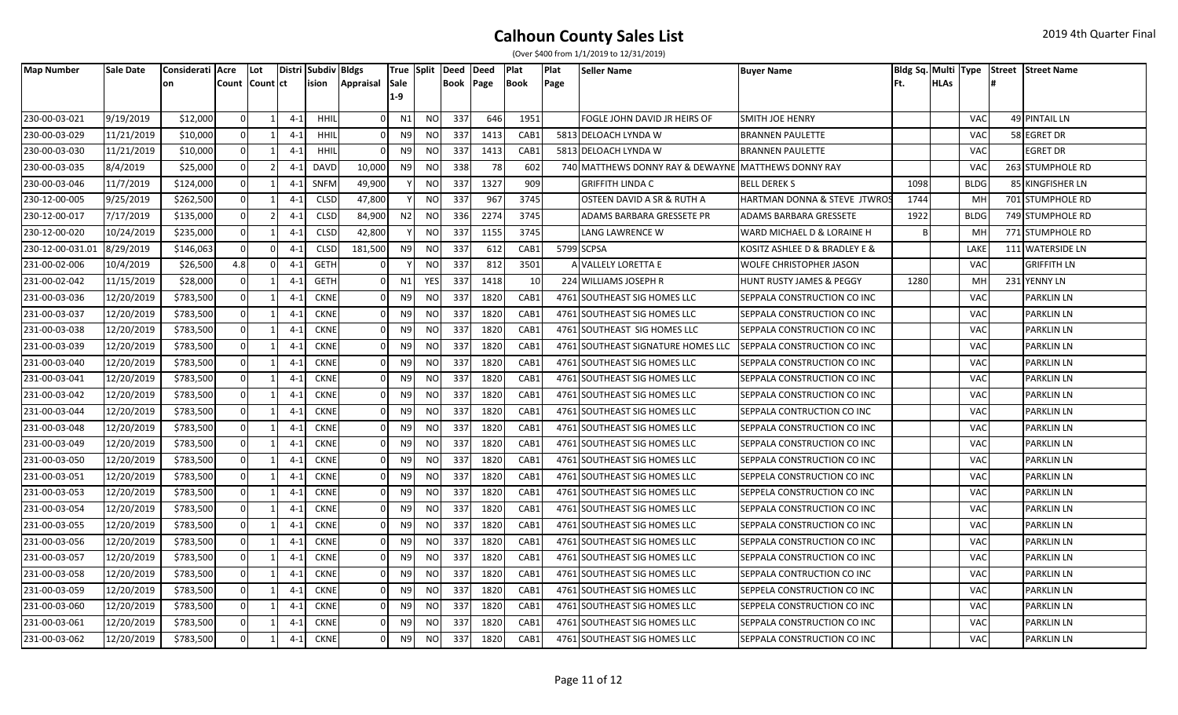| (Over \$400 from 1/1/2019 to 12/31/2019) |  |
|------------------------------------------|--|
|------------------------------------------|--|

| <b>Map Number</b> | <b>Sale Date</b> | Considerati Acre<br><b>on</b> | Count Count ct | Lot      |         | Distri Subdiv Bldgs | ision Appraisal | Sale           |               | True Split Deed Deed<br><b>Book Page</b> |      | <b>Plat</b><br><b>Book</b> | Plat<br>Page | <b>Seller Name</b>                 | <b>Buyer Name</b>             |      | <b>HLAs</b> |             | Bldg Sq. Multi Type Street Street Name |
|-------------------|------------------|-------------------------------|----------------|----------|---------|---------------------|-----------------|----------------|---------------|------------------------------------------|------|----------------------------|--------------|------------------------------------|-------------------------------|------|-------------|-------------|----------------------------------------|
|                   |                  |                               |                |          |         |                     |                 | $1-9$          |               |                                          |      |                            |              |                                    |                               |      |             |             |                                        |
| 230-00-03-021     | 9/19/2019        | \$12,000                      |                |          | $4 - 1$ | HHIL                |                 | N1             | <b>NO</b>     | 337                                      | 646  | 1951                       |              | FOGLE JOHN DAVID JR HEIRS OF       | <b>SMITH JOE HENRY</b>        |      |             | <b>VAC</b>  | <b>49 PINTAIL LN</b>                   |
| 230-00-03-029     | 11/21/2019       | \$10,000                      |                |          | $4 - 1$ | <b>HHIL</b>         |                 | N <sub>9</sub> | NO            | 337                                      | 1413 | CAB1                       |              | 5813 DELOACH LYNDA W               | <b>BRANNEN PAULETTE</b>       |      |             | VAC         | 58 EGRET DR                            |
| 230-00-03-030     | 11/21/2019       | \$10,000                      | - 0            |          | $4 - 1$ | <b>HHIL</b>         |                 | N <sub>9</sub> | NO            | 337                                      | 1413 | CAB1                       |              | 5813 DELOACH LYNDA W               | <b>BRANNEN PAULETTE</b>       |      |             | VAC         | <b>EGRET DR</b>                        |
| 230-00-03-035     | 8/4/2019         | \$25,000                      | - 0            |          | $4 - 1$ | <b>DAVD</b>         | 10,000          | N <sub>9</sub> | NO            | 338                                      | 78   | 602                        |              | 740 MATTHEWS DONNY RAY & DEWAYNE   | <b>MATTHEWS DONNY RAY</b>     |      |             | <b>VAC</b>  | 263 STUMPHOLE RD                       |
| 230-00-03-046     | 11/7/2019        | \$124,000                     | -0             |          | $4 - 1$ | <b>SNFM</b>         | 49,900          |                | <b>NO</b>     | 337                                      | 1327 | 909                        |              | <b>GRIFFITH LINDA C</b>            | <b>BELL DEREK S</b>           | 1098 |             | <b>BLDG</b> | 85 KINGFISHER LN                       |
| 230-12-00-005     | 9/25/2019        | \$262,500                     |                |          | $4-1$   | <b>CLSD</b>         | 47,800          |                | <b>NO</b>     | 337                                      | 967  | 3745                       |              | OSTEEN DAVID A SR & RUTH A         | HARTMAN DONNA & STEVE JTWROS  | 1744 |             | MF          | 701 STUMPHOLE RD                       |
| 230-12-00-017     | 7/17/2019        | \$135,000                     | $\Omega$       |          | $4 - 1$ | <b>CLSD</b>         | 84,900          | N <sub>2</sub> | <b>NO</b>     | 336                                      | 2274 | 3745                       |              | ADAMS BARBARA GRESSETE PR          | ADAMS BARBARA GRESSETE        | 1922 |             | <b>BLDG</b> | 749 STUMPHOLE RD                       |
| 230-12-00-020     | 10/24/2019       | \$235,000                     | $\Omega$       |          | $4 - 1$ | <b>CLSD</b>         | 42,800          |                | NO.           | 337                                      | 1155 | 3745                       |              | LANG LAWRENCE W                    | WARD MICHAEL D & LORAINE H    |      |             | МF          | 771 STUMPHOLE RD                       |
| 230-12-00-031.01  | 8/29/2019        | \$146,063                     | $\Omega$       | $\Omega$ | $4 - 1$ | <b>CLSD</b>         | 181,500         | N <sub>9</sub> | ΝO            | 337                                      | 612  | CAB1                       |              | 5799 SCPSA                         | KOSITZ ASHLEE D & BRADLEY E & |      |             | LAKE        | 111 WATERSIDE LN                       |
| 231-00-02-006     | 10/4/2019        | \$26,500                      | 4.8            |          | $4 - 1$ | <b>GETH</b>         |                 |                | <b>NO</b>     | 337                                      | 812  | 3501                       |              | A VALLELY LORETTA E                | WOLFE CHRISTOPHER JASON       |      |             | <b>VAC</b>  | <b>GRIFFITH LN</b>                     |
| 231-00-02-042     | 11/15/2019       | \$28,000                      | - 0            |          | $4 - 1$ | <b>GETH</b>         |                 | N1             | YES           | 337                                      | 1418 | 10                         |              | 224 WILLIAMS JOSEPH R              | HUNT RUSTY JAMES & PEGGY      | 1280 |             | MF          | 231 YENNY LN                           |
| 231-00-03-036     | 12/20/2019       | \$783,500                     | $\Omega$       |          | $4 - 1$ | <b>CKNE</b>         |                 | N <sub>9</sub> | NO            | 337                                      | 1820 | CAB1                       |              | 4761 SOUTHEAST SIG HOMES LLC       | SEPPALA CONSTRUCTION CO INC   |      |             | <b>VAC</b>  | <b>PARKLIN LN</b>                      |
| 231-00-03-037     | 12/20/2019       | \$783,500                     |                |          | $4-1$   | <b>CKNE</b>         |                 | N <sub>9</sub> | <b>NO</b>     | 337                                      | 1820 | CAB1                       |              | 4761 SOUTHEAST SIG HOMES LLC       | SEPPALA CONSTRUCTION CO INC   |      |             | <b>VAC</b>  | <b>PARKLIN LN</b>                      |
| 231-00-03-038     | 12/20/2019       | \$783,500                     |                |          | $4 - 1$ | <b>CKNE</b>         |                 | N <sub>9</sub> | NO            | 337                                      | 1820 | CAB1                       |              | 4761 SOUTHEAST SIG HOMES LLC       | SEPPALA CONSTRUCTION CO INC   |      |             | <b>VAC</b>  | <b>PARKLIN LN</b>                      |
| 231-00-03-039     | 12/20/2019       | \$783,500                     |                |          | $4 - 1$ | <b>CKNE</b>         |                 | N <sub>9</sub> | <b>NO</b>     | 337                                      | 1820 | CAB1                       |              | 4761 SOUTHEAST SIGNATURE HOMES LLC | SEPPALA CONSTRUCTION CO INC   |      |             | VAC         | <b>PARKLIN LN</b>                      |
| 231-00-03-040     | 12/20/2019       | \$783,500                     | റ              |          | $4 - 1$ | <b>CKNE</b>         |                 | N <sub>9</sub> | NO            | 337                                      | 1820 | CAB1                       |              | 4761 SOUTHEAST SIG HOMES LLC       | SEPPALA CONSTRUCTION CO INC   |      |             | VAC         | <b>PARKLIN LN</b>                      |
| 231-00-03-041     | 12/20/2019       | \$783,500                     |                |          | $4 - 1$ | <b>CKNE</b>         |                 | N <sub>9</sub> | NO.           | 337                                      | 1820 | CAB1                       |              | 4761 SOUTHEAST SIG HOMES LLC       | SEPPALA CONSTRUCTION CO INC   |      |             | VAC         | <b>PARKLIN LN</b>                      |
| 231-00-03-042     | 12/20/2019       | \$783,500                     |                |          | $4-1$   | <b>CKNE</b>         |                 | N9             | NO            | 337                                      | 1820 | CAB1                       |              | 4761 SOUTHEAST SIG HOMES LLC       | SEPPALA CONSTRUCTION CO INC   |      |             | <b>VAC</b>  | <b>PARKLIN LN</b>                      |
| 231-00-03-044     | 12/20/2019       | \$783,500                     | $\Omega$       |          | $4 - 1$ | <b>CKNE</b>         |                 | N <sub>9</sub> | <b>NO</b>     | 337                                      | 1820 | CAB:                       |              | 4761 SOUTHEAST SIG HOMES LLC       | SEPPALA CONTRUCTION CO INC    |      |             | <b>VAC</b>  | <b>PARKLIN LN</b>                      |
| 231-00-03-048     | 12/20/2019       | \$783,500                     | $\Omega$       |          | $4 - 1$ | <b>CKNE</b>         |                 | N <sub>9</sub> | NO            | 337                                      | 1820 | CAB1                       |              | 4761 SOUTHEAST SIG HOMES LLC       | SEPPALA CONSTRUCTION CO INC   |      |             | VAC         | <b>PARKLIN LN</b>                      |
| 231-00-03-049     | 12/20/2019       | \$783,500                     | $\Omega$       |          | $4 - 1$ | <b>CKNE</b>         |                 | N <sub>9</sub> | NO.           | 337                                      | 1820 | CAB1                       |              | 4761 SOUTHEAST SIG HOMES LLC       | SEPPALA CONSTRUCTION CO INC   |      |             | VAC         | <b>PARKLIN LN</b>                      |
| 231-00-03-050     | 12/20/2019       | \$783,500                     | $\Omega$       |          | $4 - 1$ | <b>CKNE</b>         |                 | N <sub>9</sub> | NO.           | 337                                      | 1820 | CAB1                       |              | 4761 SOUTHEAST SIG HOMES LLC       | SEPPALA CONSTRUCTION CO INC   |      |             | <b>VAC</b>  | <b>PARKLIN LN</b>                      |
| 231-00-03-051     | 12/20/2019       | \$783,500                     | $\Omega$       |          | $4 - 1$ | <b>CKNE</b>         |                 | N <sub>9</sub> | NO            | 337                                      | 1820 | CAB1                       |              | 4761 SOUTHEAST SIG HOMES LLC       | SEPPELA CONSTRUCTION CO INC   |      |             | <b>VAC</b>  | <b>PARKLIN LN</b>                      |
| 231-00-03-053     | 12/20/2019       | \$783,500                     | $\Omega$       |          | $4 - 1$ | <b>CKNE</b>         |                 | N <sub>9</sub> | <sub>NO</sub> | 337                                      | 1820 | CAB1                       |              | 4761 SOUTHEAST SIG HOMES LLC       | SEPPELA CONSTRUCTION CO INC   |      |             | VAC         | <b>PARKLIN LN</b>                      |
| 231-00-03-054     | 12/20/2019       | \$783,500                     |                |          | $4 - 1$ | <b>CKNE</b>         |                 | N <sub>9</sub> | NO            | 337                                      | 1820 | CAB1                       |              | 4761 SOUTHEAST SIG HOMES LLC       | SEPPALA CONSTRUCTION CO INC   |      |             | <b>VAC</b>  | <b>PARKLIN LN</b>                      |
| 231-00-03-055     | 12/20/2019       | \$783,500                     |                |          | $4 - 1$ | <b>CKNE</b>         |                 | N <sub>9</sub> | NO.           | 337                                      | 1820 | CAB1                       |              | 4761 SOUTHEAST SIG HOMES LLC       | SEPPALA CONSTRUCTION CO INC   |      |             | VAC         | <b>PARKLIN LN</b>                      |
| 231-00-03-056     | 12/20/2019       | \$783,500                     | - 0            |          | $4 - 1$ | <b>CKNE</b>         |                 | N <sub>9</sub> | NO.           | 337                                      | 1820 | CAB1                       |              | 4761 SOUTHEAST SIG HOMES LLC       | SEPPALA CONSTRUCTION CO INC   |      |             | <b>VAC</b>  | <b>PARKLIN LN</b>                      |
| 231-00-03-057     | 12/20/2019       | \$783,500                     |                |          | $4 - 1$ | <b>CKNE</b>         |                 | N <sub>9</sub> | <b>NO</b>     | 337                                      | 1820 | CAB1                       |              | 4761 SOUTHEAST SIG HOMES LLC       | SEPPALA CONSTRUCTION CO INC   |      |             | <b>VAC</b>  | <b>PARKLIN LN</b>                      |
| 231-00-03-058     | 12/20/2019       | \$783,500                     | $\Omega$       |          | $4 - 1$ | <b>CKNE</b>         |                 | N <sub>9</sub> | <b>NO</b>     | 337                                      | 1820 | CAB1                       |              | 4761 SOUTHEAST SIG HOMES LLC       | SEPPALA CONTRUCTION CO INC    |      |             | <b>VAC</b>  | <b>PARKLIN LN</b>                      |
| 231-00-03-059     | 12/20/2019       | \$783,500                     |                |          | $4 - 1$ | <b>CKNE</b>         |                 | N <sub>9</sub> | NO.           | 337                                      | 1820 | CAB1                       |              | 4761 SOUTHEAST SIG HOMES LLC       | SEPPELA CONSTRUCTION CO INC   |      |             | VAC         | <b>PARKLIN LN</b>                      |
| 231-00-03-060     | 12/20/2019       | \$783,500                     | $\Omega$       |          | $4 - 1$ | <b>CKNE</b>         |                 | N9             | NO.           | 337                                      | 1820 | CAB:                       |              | 4761 SOUTHEAST SIG HOMES LLC       | SEPPELA CONSTRUCTION CO INC   |      |             | <b>VAC</b>  | <b>PARKLIN LN</b>                      |
| 231-00-03-061     | 12/20/2019       | \$783,500                     |                |          | $4 - 1$ | <b>CKNE</b>         |                 | N <sub>9</sub> | <b>NO</b>     | 337                                      | 1820 | CAB1                       |              | 4761 SOUTHEAST SIG HOMES LLC       | SEPPALA CONSTRUCTION CO INC   |      |             | <b>VAC</b>  | <b>PARKLIN LN</b>                      |
| 231-00-03-062     | 12/20/2019       | \$783,500                     | $\Omega$       |          | $4 - 1$ | <b>CKNE</b>         |                 | N <sub>9</sub> | <b>NO</b>     | 337                                      | 1820 | CAB1                       |              | 4761 SOUTHEAST SIG HOMES LLC       | SEPPALA CONSTRUCTION CO INC   |      |             | <b>VAC</b>  | <b>PARKLIN LN</b>                      |